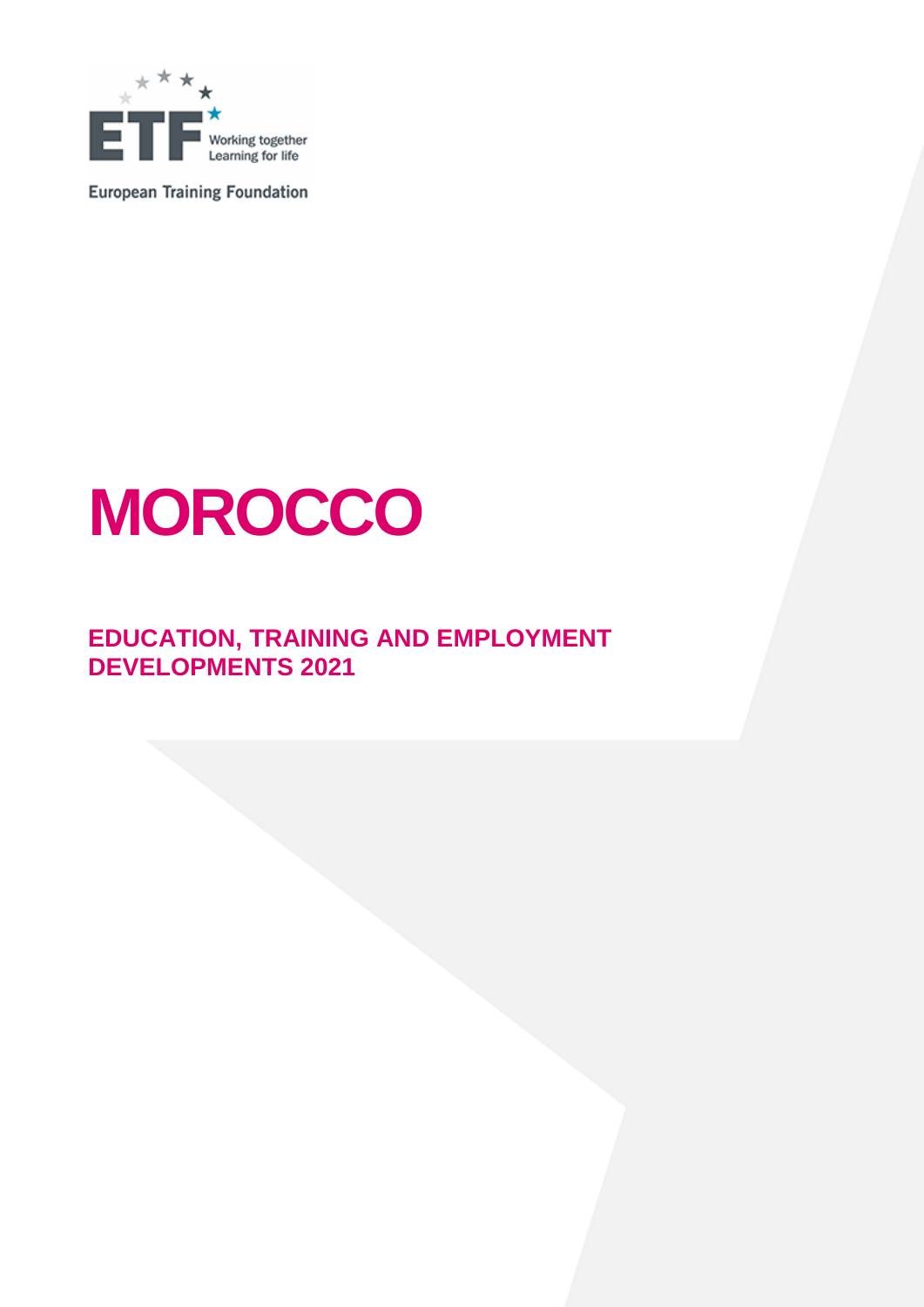

**European Training Foundation** 

# **MOROCCO**

## **EDUCATION, TRAINING AND EMPLOYMENT DEVELOPMENTS 2021**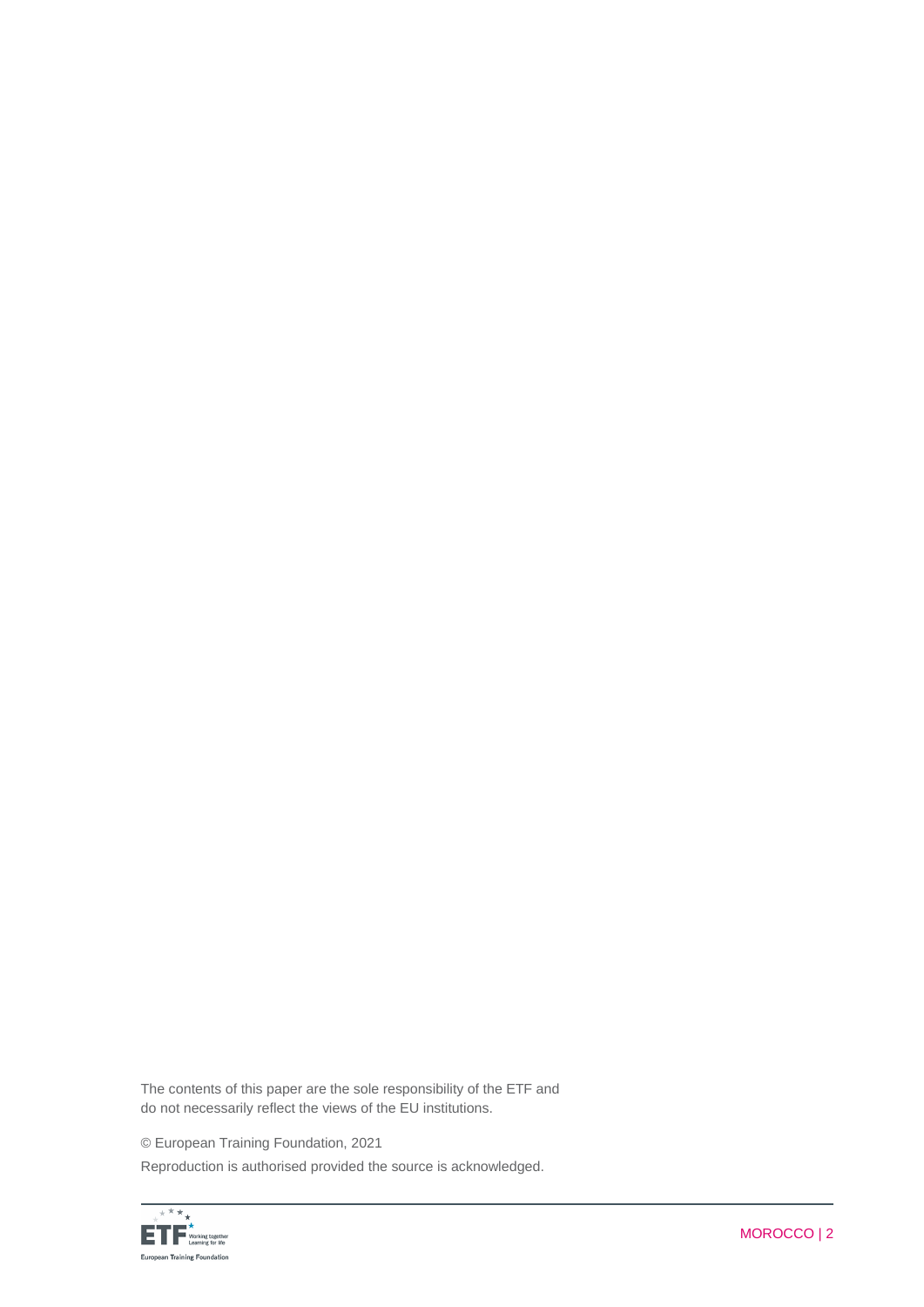The contents of this paper are the sole responsibility of the ETF and do not necessarily reflect the views of the EU institutions.

© European Training Foundation, 2021

Reproduction is authorised provided the source is acknowledged.

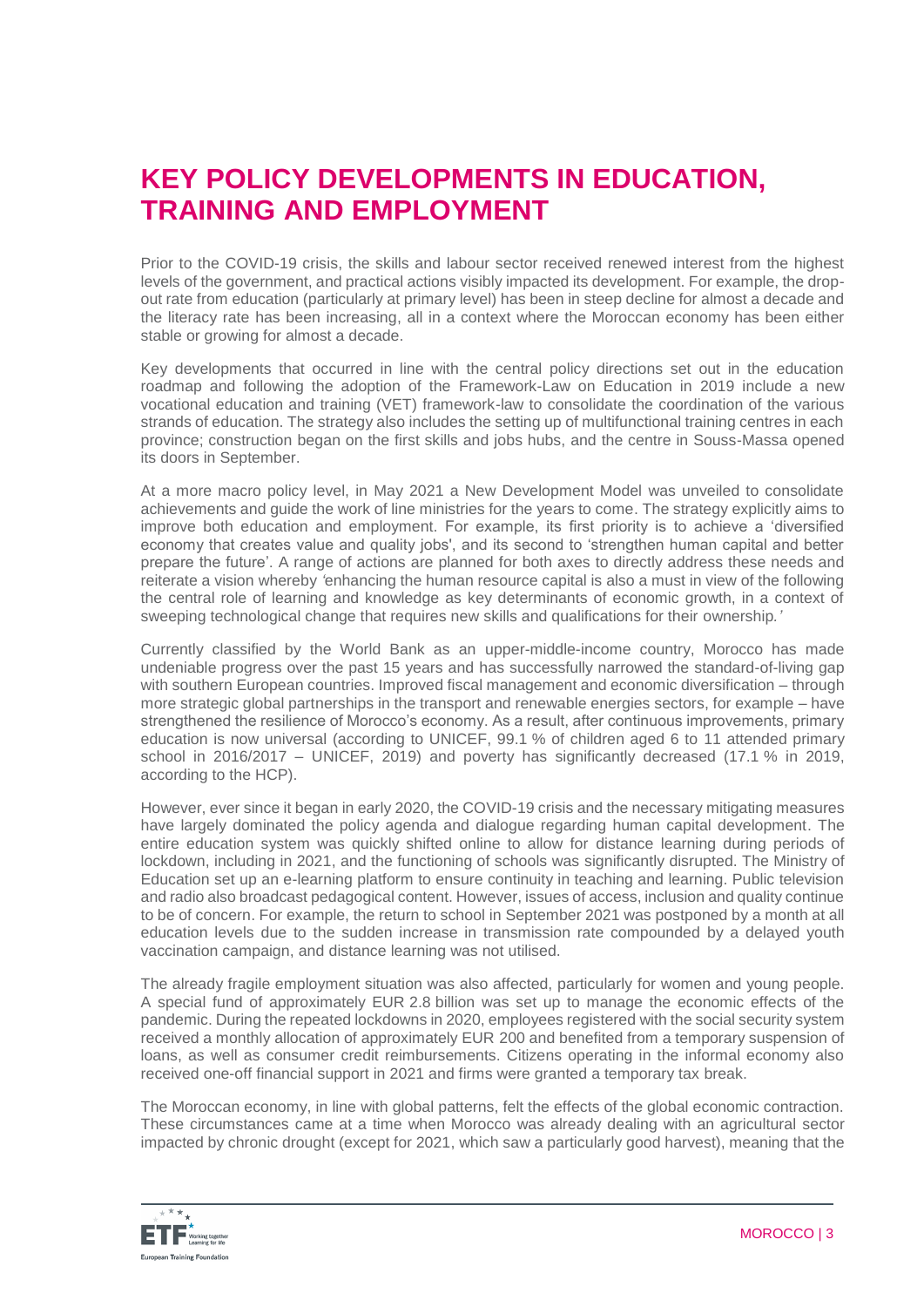# **KEY POLICY DEVELOPMENTS IN EDUCATION, TRAINING AND EMPLOYMENT**

Prior to the COVID-19 crisis, the skills and labour sector received renewed interest from the highest levels of the government, and practical actions visibly impacted its development. For example, the dropout rate from education (particularly at primary level) has been in steep decline for almost a decade and the literacy rate has been increasing, all in a context where the Moroccan economy has been either stable or growing for almost a decade.

Key developments that occurred in line with the central policy directions set out in the education roadmap and following the adoption of the Framework-Law on Education in 2019 include a new vocational education and training (VET) framework-law to consolidate the coordination of the various strands of education. The strategy also includes the setting up of multifunctional training centres in each province; construction began on the first skills and jobs hubs, and the centre in Souss-Massa opened its doors in September.

At a more macro policy level, in May 2021 a New Development Model was unveiled to consolidate achievements and guide the work of line ministries for the years to come. The strategy explicitly aims to improve both education and employment. For example, its first priority is to achieve a 'diversified economy that creates value and quality jobs', and its second to 'strengthen human capital and better prepare the future'. A range of actions are planned for both axes to directly address these needs and reiterate a vision whereby *'*enhancing the human resource capital is also a must in view of the following the central role of learning and knowledge as key determinants of economic growth, in a context of sweeping technological change that requires new skills and qualifications for their ownership*.'*

Currently classified by the World Bank as an upper-middle-income country, Morocco has made undeniable progress over the past 15 years and has successfully narrowed the standard-of-living gap with southern European countries. Improved fiscal management and economic diversification – through more strategic global partnerships in the transport and renewable energies sectors, for example – have strengthened the resilience of Morocco's economy. As a result, after continuous improvements, primary education is now universal (according to UNICEF, 99.1 % of children aged 6 to 11 attended primary school in 2016/2017 – UNICEF, 2019) and poverty has significantly decreased (17.1 % in 2019, according to the HCP).

However, ever since it began in early 2020, the COVID-19 crisis and the necessary mitigating measures have largely dominated the policy agenda and dialogue regarding human capital development. The entire education system was quickly shifted online to allow for distance learning during periods of lockdown, including in 2021, and the functioning of schools was significantly disrupted. The Ministry of Education set up an e-learning platform to ensure continuity in teaching and learning. Public television and radio also broadcast pedagogical content. However, issues of access, inclusion and quality continue to be of concern. For example, the return to school in September 2021 was postponed by a month at all education levels due to the sudden increase in transmission rate compounded by a delayed youth vaccination campaign, and distance learning was not utilised.

The already fragile employment situation was also affected, particularly for women and young people. A special fund of approximately EUR 2.8 billion was set up to manage the economic effects of the pandemic. During the repeated lockdowns in 2020, employees registered with the social security system received a monthly allocation of approximately EUR 200 and benefited from a temporary suspension of loans, as well as consumer credit reimbursements. Citizens operating in the informal economy also received one-off financial support in 2021 and firms were granted a temporary tax break.

The Moroccan economy, in line with global patterns, felt the effects of the global economic contraction. These circumstances came at a time when Morocco was already dealing with an agricultural sector impacted by chronic drought (except for 2021, which saw a particularly good harvest), meaning that the

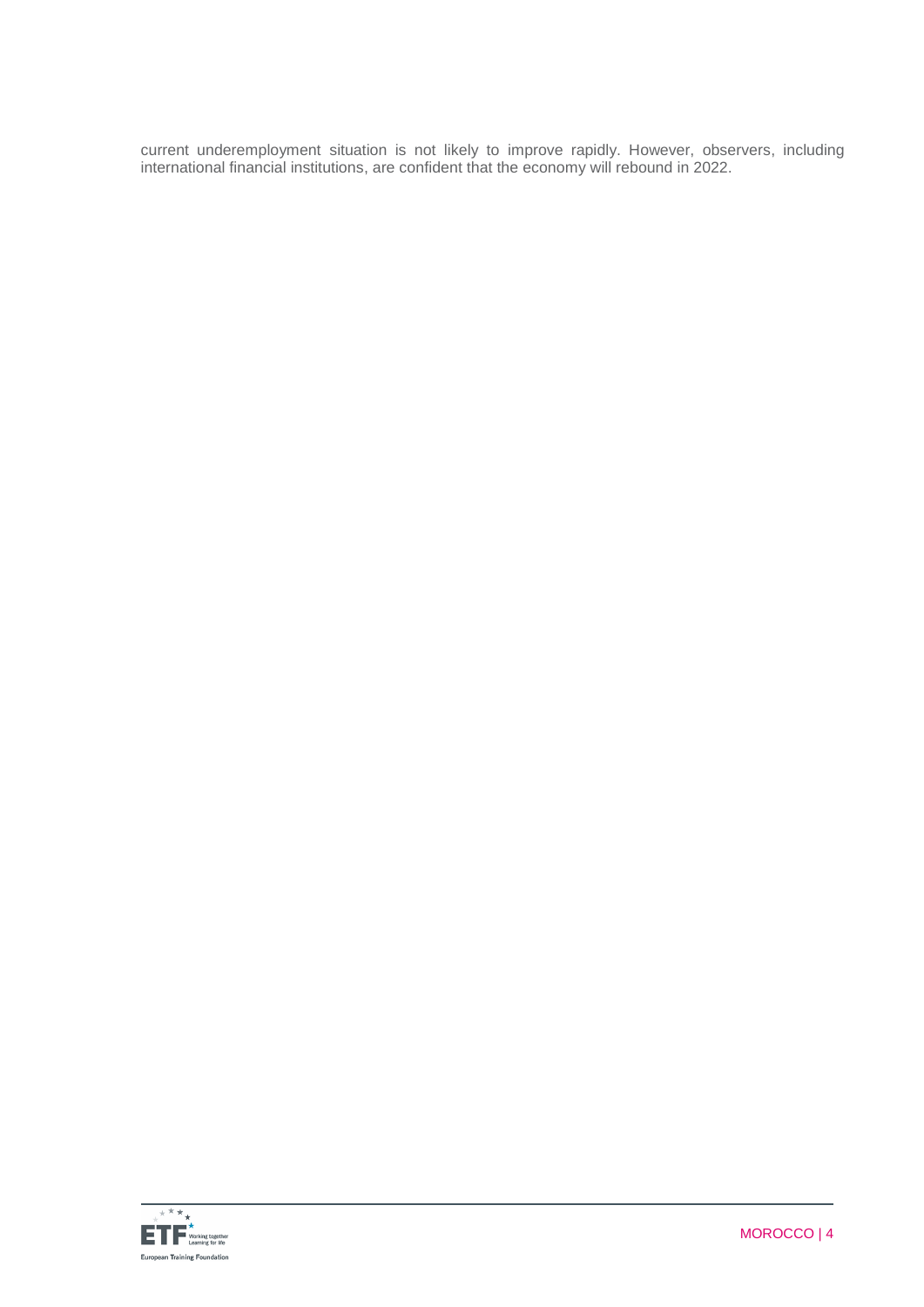current underemployment situation is not likely to improve rapidly. However, observers, including international financial institutions, are confident that the economy will rebound in 2022.

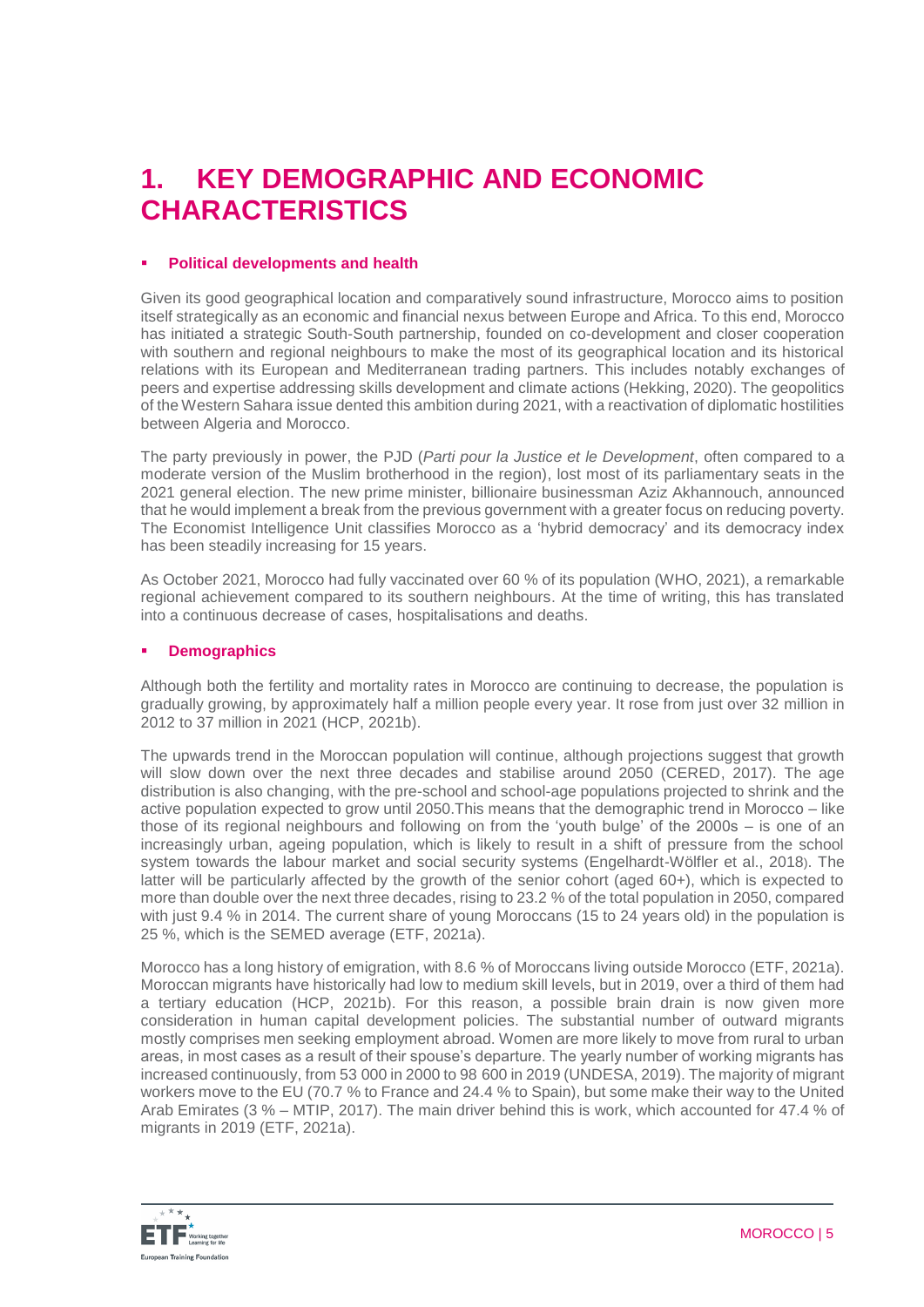# **1. KEY DEMOGRAPHIC AND ECONOMIC CHARACTERISTICS**

## **Political developments and health**

Given its good geographical location and comparatively sound infrastructure, Morocco aims to position itself strategically as an economic and financial nexus between Europe and Africa. To this end, Morocco has initiated a strategic South-South partnership, founded on co-development and closer cooperation with southern and regional neighbours to make the most of its geographical location and its historical relations with its European and Mediterranean trading partners. This includes notably exchanges of peers and expertise addressing skills development and climate actions (Hekking, 2020). The geopolitics of the Western Sahara issue dented this ambition during 2021, with a reactivation of diplomatic hostilities between Algeria and Morocco.

The party previously in power, the PJD (*Parti pour la Justice et le Development*, often compared to a moderate version of the Muslim brotherhood in the region), lost most of its parliamentary seats in the 2021 general election. The new prime minister, billionaire businessman Aziz Akhannouch, announced that he would implement a break from the previous government with a greater focus on reducing poverty. The Economist Intelligence Unit classifies Morocco as a 'hybrid democracy' and its democracy index has been steadily increasing for 15 years.

As October 2021, Morocco had fully vaccinated over 60 % of its population (WHO, 2021), a remarkable regional achievement compared to its southern neighbours. At the time of writing, this has translated into a continuous decrease of cases, hospitalisations and deaths.

## **E** Demographics

Although both the fertility and mortality rates in Morocco are continuing to decrease, the population is gradually growing, by approximately half a million people every year. It rose from just over 32 million in 2012 to 37 million in 2021 (HCP, 2021b).

The upwards trend in the Moroccan population will continue, although projections suggest that growth will slow down over the next three decades and stabilise around 2050 (CERED, 2017). The age distribution is also changing, with the pre-school and school-age populations projected to shrink and the active population expected to grow until 2050.This means that the demographic trend in Morocco – like those of its regional neighbours and following on from the 'youth bulge' of the 2000s – is one of an increasingly urban, ageing population, which is likely to result in a shift of pressure from the school system towards the labour market and social security systems (Engelhardt-Wölfler et al., 2018). The latter will be particularly affected by the growth of the senior cohort (aged 60+), which is expected to more than double over the next three decades, rising to 23.2 % of the total population in 2050, compared with just 9.4 % in 2014. The current share of young Moroccans (15 to 24 years old) in the population is 25 %, which is the SEMED average (ETF, 2021a).

Morocco has a long history of emigration, with 8.6 % of Moroccans living outside Morocco (ETF, 2021a). Moroccan migrants have historically had low to medium skill levels, but in 2019, over a third of them had a tertiary education (HCP, 2021b). For this reason, a possible brain drain is now given more consideration in human capital development policies. The substantial number of outward migrants mostly comprises men seeking employment abroad. Women are more likely to move from rural to urban areas, in most cases as a result of their spouse's departure. The yearly number of working migrants has increased continuously, from 53 000 in 2000 to 98 600 in 2019 (UNDESA, 2019). The majority of migrant workers move to the EU (70.7 % to France and 24.4 % to Spain), but some make their way to the United Arab Emirates (3 % – MTIP, 2017). The main driver behind this is work, which accounted for 47.4 % of migrants in 2019 (ETF, 2021a).

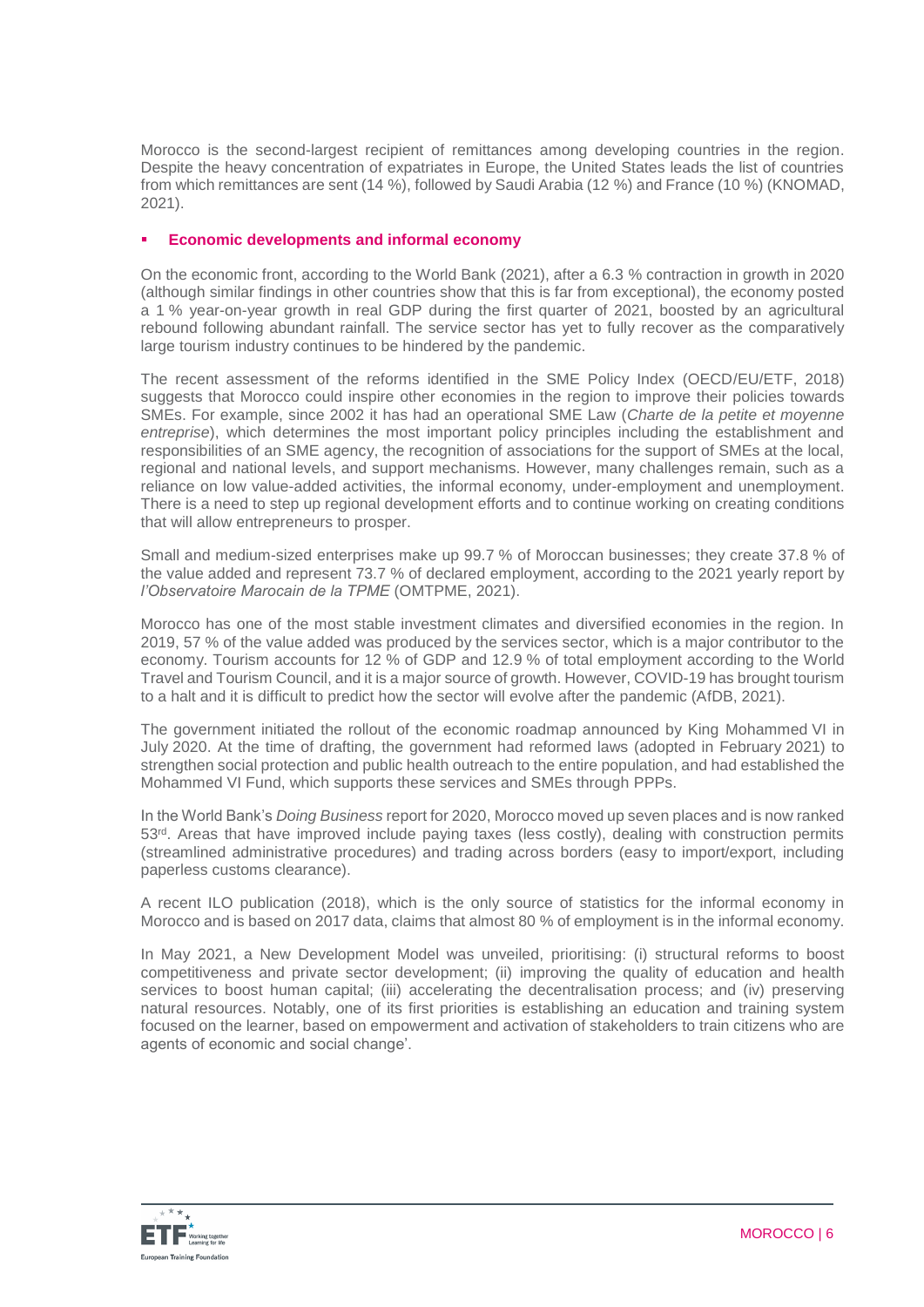Morocco is the second-largest recipient of remittances among developing countries in the region. Despite the heavy concentration of expatriates in Europe, the United States leads the list of countries from which remittances are sent (14 %), followed by Saudi Arabia (12 %) and France (10 %) (KNOMAD, 2021).

## **Economic developments and informal economy**

On the economic front, according to the World Bank (2021), after a 6.3 % contraction in growth in 2020 (although similar findings in other countries show that this is far from exceptional), the economy posted a 1 % year-on-year growth in real GDP during the first quarter of 2021, boosted by an agricultural rebound following abundant rainfall. The service sector has yet to fully recover as the comparatively large tourism industry continues to be hindered by the pandemic.

The recent assessment of the reforms identified in the SME Policy Index (OECD/EU/ETF, 2018) suggests that Morocco could inspire other economies in the region to improve their policies towards SMEs. For example, since 2002 it has had an operational SME Law (*Charte de la petite et moyenne entreprise*), which determines the most important policy principles including the establishment and responsibilities of an SME agency, the recognition of associations for the support of SMEs at the local, regional and national levels, and support mechanisms. However, many challenges remain, such as a reliance on low value-added activities, the informal economy, under-employment and unemployment. There is a need to step up regional development efforts and to continue working on creating conditions that will allow entrepreneurs to prosper.

Small and medium-sized enterprises make up 99.7 % of Moroccan businesses; they create 37.8 % of the value added and represent 73.7 % of declared employment, according to the 2021 yearly report by *l'Observatoire Marocain de la TPME* (OMTPME, 2021).

Morocco has one of the most stable investment climates and diversified economies in the region. In 2019, 57 % of the value added was produced by the services sector, which is a major contributor to the economy. Tourism accounts for 12 % of GDP and 12.9 % of total employment according to the World Travel and Tourism Council, and it is a major source of growth. However, COVID-19 has brought tourism to a halt and it is difficult to predict how the sector will evolve after the pandemic (AfDB, 2021).

The government initiated the rollout of the economic roadmap announced by King Mohammed VI in July 2020. At the time of drafting, the government had reformed laws (adopted in February 2021) to strengthen social protection and public health outreach to the entire population, and had established the Mohammed VI Fund, which supports these services and SMEs through PPPs.

In the World Bank's *Doing Business* report for 2020, Morocco moved up seven places and is now ranked 53rd. Areas that have improved include paying taxes (less costly), dealing with construction permits (streamlined administrative procedures) and trading across borders (easy to import/export, including paperless customs clearance).

A recent ILO publication (2018), which is the only source of statistics for the informal economy in Morocco and is based on 2017 data, claims that almost 80 % of employment is in the informal economy.

In May 2021, a New Development Model was unveiled, prioritising: (i) structural reforms to boost competitiveness and private sector development; (ii) improving the quality of education and health services to boost human capital; (iii) accelerating the decentralisation process; and (iv) preserving natural resources. Notably, one of its first priorities is establishing an education and training system focused on the learner, based on empowerment and activation of stakeholders to train citizens who are agents of economic and social change'.

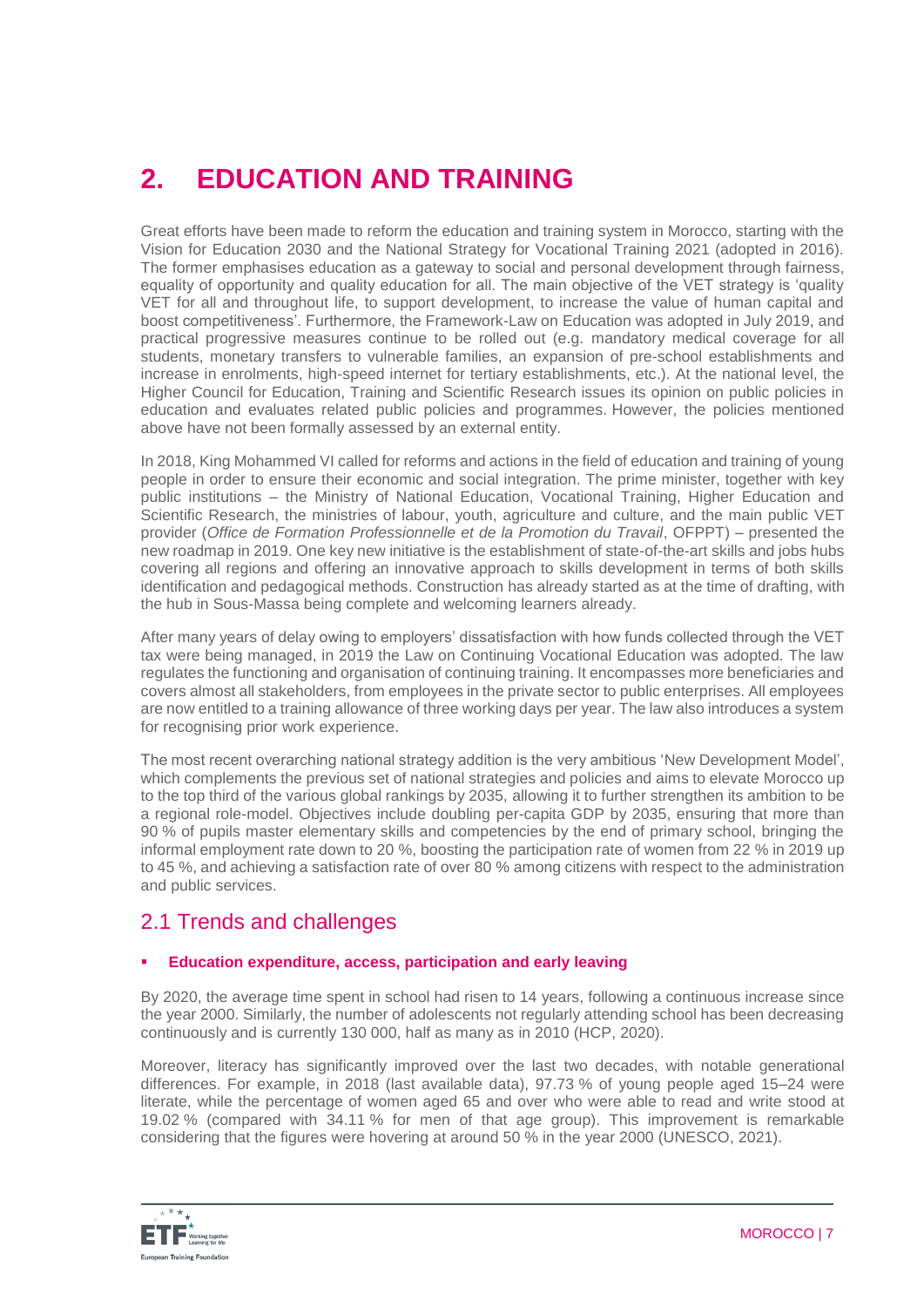# **2. EDUCATION AND TRAINING**

Great efforts have been made to reform the education and training system in Morocco, starting with the Vision for Education 2030 and the National Strategy for Vocational Training 2021 (adopted in 2016). The former emphasises education as a gateway to social and personal development through fairness, equality of opportunity and quality education for all. The main objective of the VET strategy is 'quality VET for all and throughout life, to support development, to increase the value of human capital and boost competitiveness'. Furthermore, the Framework-Law on Education was adopted in July 2019, and practical progressive measures continue to be rolled out (e.g. mandatory medical coverage for all students, monetary transfers to vulnerable families, an expansion of pre-school establishments and increase in enrolments, high-speed internet for tertiary establishments, etc.). At the national level, the Higher Council for Education, Training and Scientific Research issues its opinion on public policies in education and evaluates related public policies and programmes. However, the policies mentioned above have not been formally assessed by an external entity.

In 2018, King Mohammed VI called for reforms and actions in the field of education and training of young people in order to ensure their economic and social integration. The prime minister, together with key public institutions – the Ministry of National Education, Vocational Training, Higher Education and Scientific Research, the ministries of labour, youth, agriculture and culture, and the main public VET provider (*Office de Formation Professionnelle et de la Promotion du Travail*, OFPPT) – presented the new roadmap in 2019. One key new initiative is the establishment of state-of-the-art skills and jobs hubs covering all regions and offering an innovative approach to skills development in terms of both skills identification and pedagogical methods. Construction has already started as at the time of drafting, with the hub in Sous-Massa being complete and welcoming learners already.

After many years of delay owing to employers' dissatisfaction with how funds collected through the VET tax were being managed, in 2019 the Law on Continuing Vocational Education was adopted. The law regulates the functioning and organisation of continuing training. It encompasses more beneficiaries and covers almost all stakeholders, from employees in the private sector to public enterprises. All employees are now entitled to a training allowance of three working days per year. The law also introduces a system for recognising prior work experience.

The most recent overarching national strategy addition is the very ambitious 'New Development Model', which complements the previous set of national strategies and policies and aims to elevate Morocco up to the top third of the various global rankings by 2035, allowing it to further strengthen its ambition to be a regional role-model. Objectives include doubling per-capita GDP by 2035, ensuring that more than 90 % of pupils master elementary skills and competencies by the end of primary school, bringing the informal employment rate down to 20 %, boosting the participation rate of women from 22 % in 2019 up to 45 %, and achieving a satisfaction rate of over 80 % among citizens with respect to the administration and public services.

## 2.1 Trends and challenges

## **Education expenditure, access, participation and early leaving**

By 2020, the average time spent in school had risen to 14 years, following a continuous increase since the year 2000. Similarly, the number of adolescents not regularly attending school has been decreasing continuously and is currently 130 000, half as many as in 2010 (HCP, 2020).

Moreover, literacy has significantly improved over the last two decades, with notable generational differences. For example, in 2018 (last available data), 97.73 % of young people aged 15–24 were literate, while the percentage of women aged 65 and over who were able to read and write stood at 19.02 % (compared with 34.11 % for men of that age group). This improvement is remarkable considering that the figures were hovering at around 50 % in the year 2000 (UNESCO, 2021).

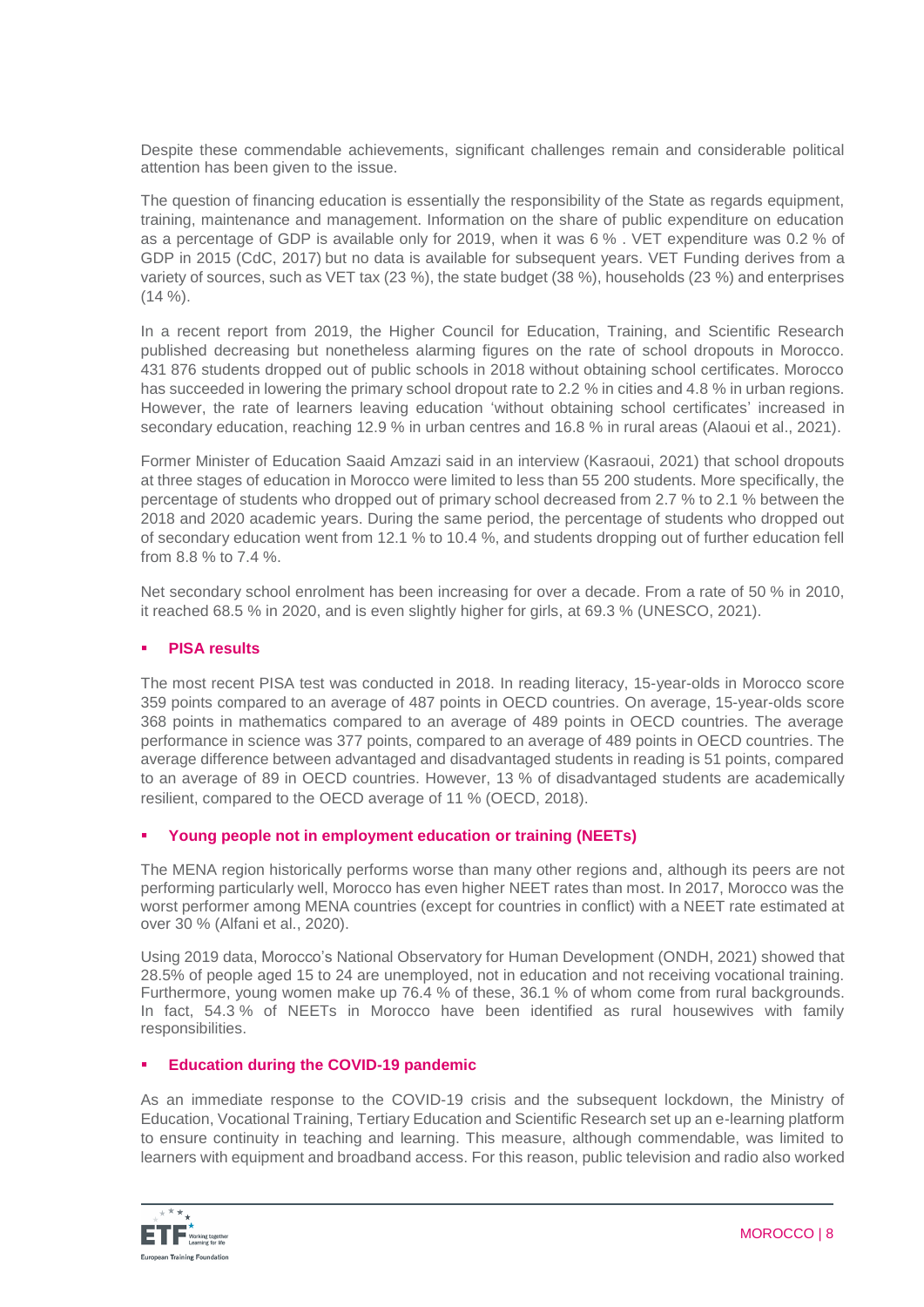Despite these commendable achievements, significant challenges remain and considerable political attention has been given to the issue.

The question of financing education is essentially the responsibility of the State as regards equipment, training, maintenance and management. Information on the share of public expenditure on education as a percentage of GDP is available only for 2019, when it was 6 % . VET expenditure was 0.2 % of GDP in 2015 (CdC, 2017) but no data is available for subsequent years. VET Funding derives from a variety of sources, such as VET tax (23 %), the state budget (38 %), households (23 %) and enterprises  $(14 \%)$ .

In a recent report from 2019, the Higher Council for Education, Training, and Scientific Research published decreasing but nonetheless alarming figures on the rate of school dropouts in Morocco. 431 876 students dropped out of public schools in 2018 without obtaining school certificates. Morocco has succeeded in lowering the primary school dropout rate to 2.2 % in cities and 4.8 % in urban regions. However, the rate of learners leaving education 'without obtaining school certificates' increased in secondary education, reaching 12.9 % in urban centres and 16.8 % in rural areas (Alaoui et al., 2021).

Former Minister of Education Saaid Amzazi said in an interview (Kasraoui, 2021) that school dropouts at three stages of education in Morocco were limited to less than 55 200 students. More specifically, the percentage of students who dropped out of primary school decreased from 2.7 % to 2.1 % between the 2018 and 2020 academic years. During the same period, the percentage of students who dropped out of secondary education went from 12.1 % to 10.4 %, and students dropping out of further education fell from 8.8 % to 7.4 %.

Net secondary school enrolment has been increasing for over a decade. From a rate of 50 % in 2010, it reached 68.5 % in 2020, and is even slightly higher for girls, at 69.3 % (UNESCO, 2021).

## **PISA results**

The most recent PISA test was conducted in 2018. In reading literacy, 15-year-olds in Morocco score 359 points compared to an average of 487 points in OECD countries. On average, 15-year-olds score 368 points in mathematics compared to an average of 489 points in OECD countries. The average performance in science was 377 points, compared to an average of 489 points in OECD countries. The average difference between advantaged and disadvantaged students in reading is 51 points, compared to an average of 89 in OECD countries. However, 13 % of disadvantaged students are academically resilient, compared to the OECD average of 11 % (OECD, 2018).

### **Young people not in employment education or training (NEETs)**

The MENA region historically performs worse than many other regions and, although its peers are not performing particularly well, Morocco has even higher NEET rates than most. In 2017, Morocco was the worst performer among MENA countries (except for countries in conflict) with a NEET rate estimated at over 30 % (Alfani et al., 2020).

Using 2019 data, Morocco's National Observatory for Human Development (ONDH, 2021) showed that 28.5% of people aged 15 to 24 are unemployed, not in education and not receiving vocational training. Furthermore, young women make up 76.4 % of these, 36.1 % of whom come from rural backgrounds. In fact, 54.3 % of NEETs in Morocco have been identified as rural housewives with family responsibilities.

### **Education during the COVID-19 pandemic**

As an immediate response to the COVID-19 crisis and the subsequent lockdown, the Ministry of Education, Vocational Training, Tertiary Education and Scientific Research set up an e-learning platform to ensure continuity in teaching and learning. This measure, although commendable, was limited to learners with equipment and broadband access. For this reason, public television and radio also worked

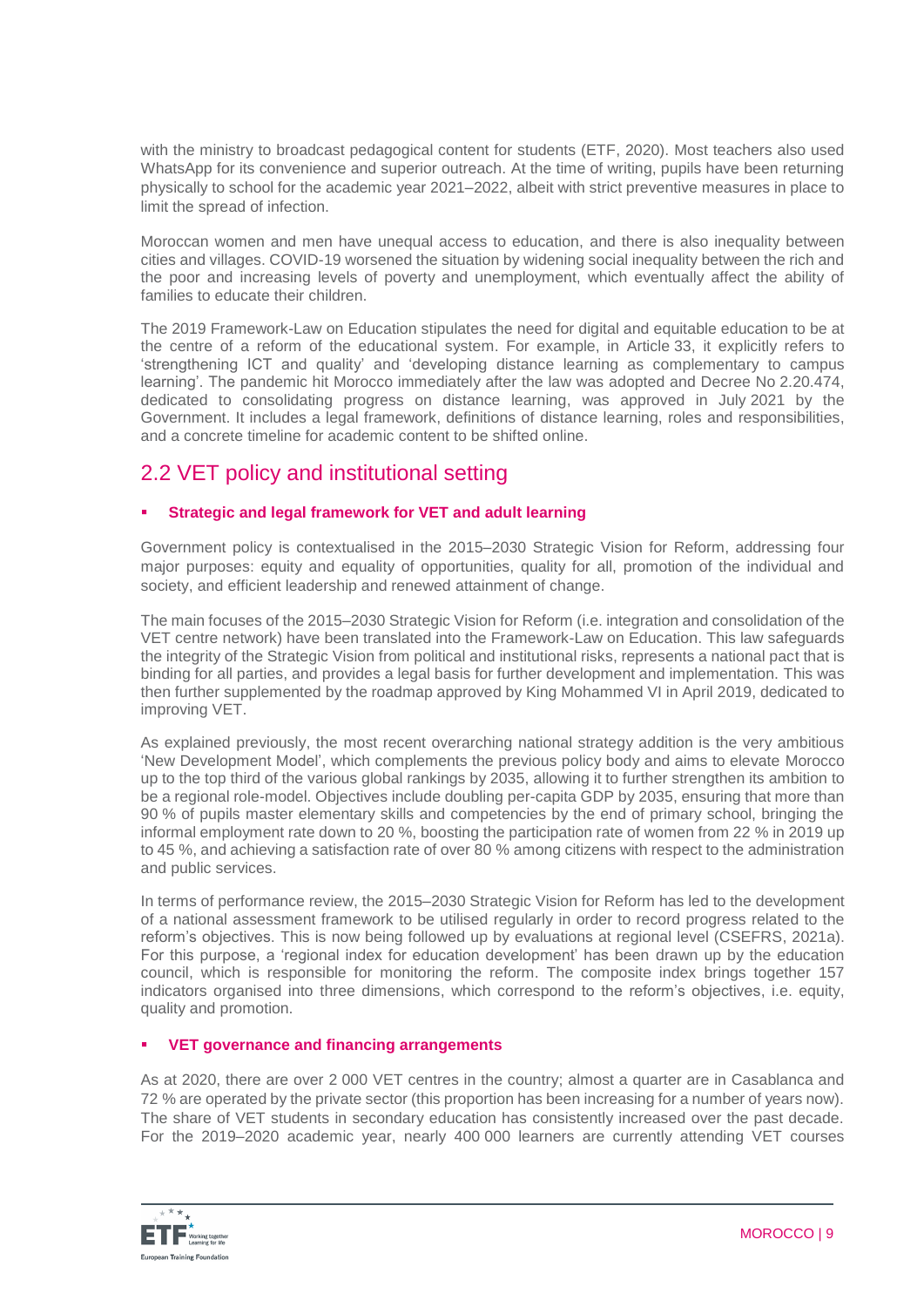with the ministry to broadcast pedagogical content for students (ETF, 2020). Most teachers also used WhatsApp for its convenience and superior outreach. At the time of writing, pupils have been returning physically to school for the academic year 2021–2022, albeit with strict preventive measures in place to limit the spread of infection.

Moroccan women and men have unequal access to education, and there is also inequality between cities and villages. COVID-19 worsened the situation by widening social inequality between the rich and the poor and increasing levels of poverty and unemployment, which eventually affect the ability of families to educate their children.

The 2019 Framework-Law on Education stipulates the need for digital and equitable education to be at the centre of a reform of the educational system. For example, in Article 33, it explicitly refers to 'strengthening ICT and quality' and 'developing distance learning as complementary to campus learning'. The pandemic hit Morocco immediately after the law was adopted and Decree No 2.20.474, dedicated to consolidating progress on distance learning, was approved in July 2021 by the Government. It includes a legal framework, definitions of distance learning, roles and responsibilities, and a concrete timeline for academic content to be shifted online.

## 2.2 VET policy and institutional setting

## **Strategic and legal framework for VET and adult learning**

Government policy is contextualised in the 2015–2030 Strategic Vision for Reform, addressing four major purposes: equity and equality of opportunities, quality for all, promotion of the individual and society, and efficient leadership and renewed attainment of change.

The main focuses of the 2015–2030 Strategic Vision for Reform (i.e. integration and consolidation of the VET centre network) have been translated into the Framework-Law on Education. This law safeguards the integrity of the Strategic Vision from political and institutional risks, represents a national pact that is binding for all parties, and provides a legal basis for further development and implementation. This was then further supplemented by the roadmap approved by King Mohammed VI in April 2019, dedicated to improving VET.

As explained previously, the most recent overarching national strategy addition is the very ambitious 'New Development Model', which complements the previous policy body and aims to elevate Morocco up to the top third of the various global rankings by 2035, allowing it to further strengthen its ambition to be a regional role-model. Objectives include doubling per-capita GDP by 2035, ensuring that more than 90 % of pupils master elementary skills and competencies by the end of primary school, bringing the informal employment rate down to 20 %, boosting the participation rate of women from 22 % in 2019 up to 45 %, and achieving a satisfaction rate of over 80 % among citizens with respect to the administration and public services.

In terms of performance review, the 2015–2030 Strategic Vision for Reform has led to the development of a national assessment framework to be utilised regularly in order to record progress related to the reform's objectives. This is now being followed up by evaluations at regional level (CSEFRS, 2021a). For this purpose, a 'regional index for education development' has been drawn up by the education council, which is responsible for monitoring the reform. The composite index brings together 157 indicators organised into three dimensions, which correspond to the reform's objectives, i.e. equity, quality and promotion.

## **VET governance and financing arrangements**

As at 2020, there are over 2 000 VET centres in the country; almost a quarter are in Casablanca and 72 % are operated by the private sector (this proportion has been increasing for a number of years now). The share of VET students in secondary education has consistently increased over the past decade. For the 2019–2020 academic year, nearly 400 000 learners are currently attending VET courses

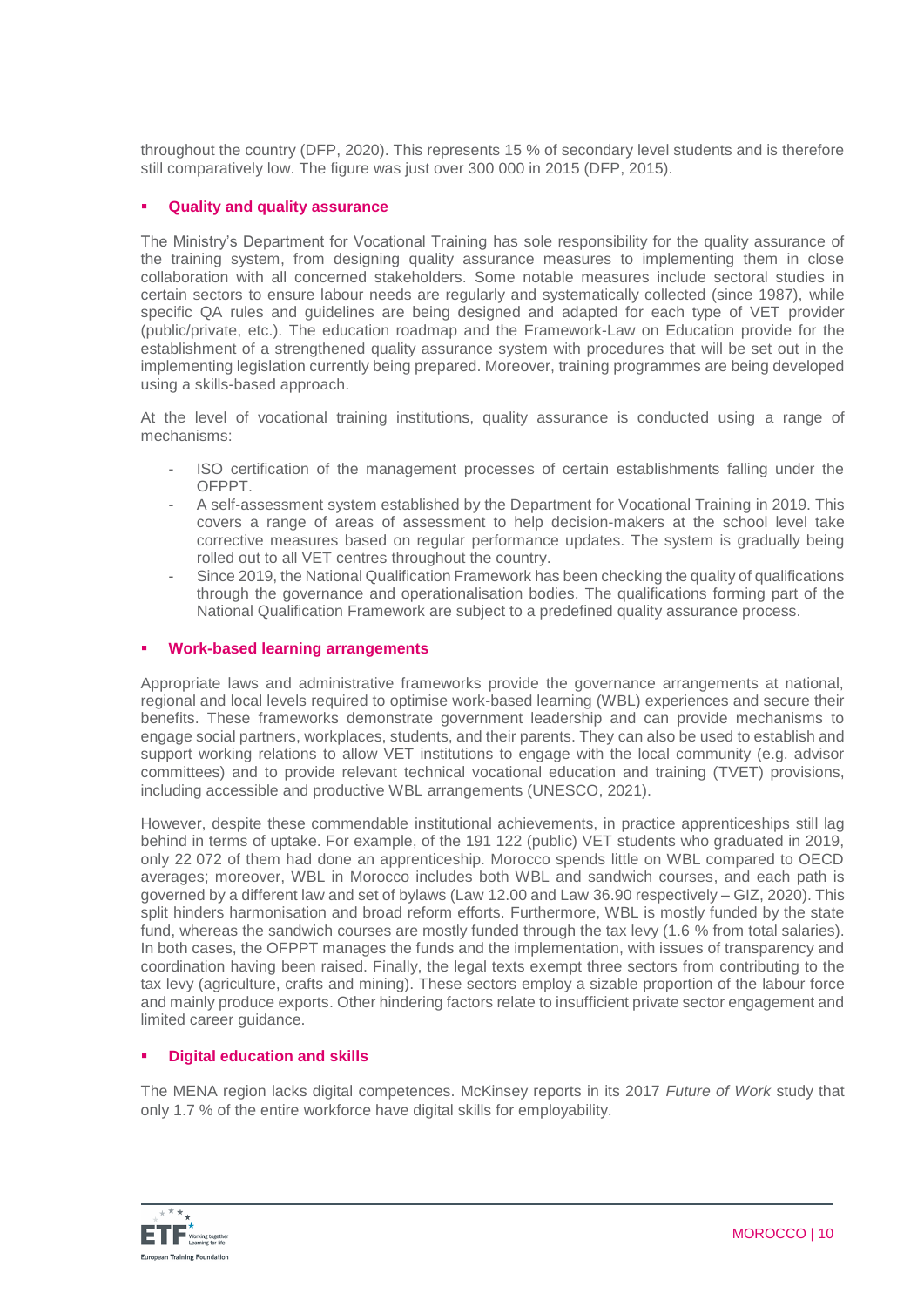throughout the country (DFP, 2020). This represents 15 % of secondary level students and is therefore still comparatively low. The figure was just over 300 000 in 2015 (DFP, 2015).

## **Quality and quality assurance**

The Ministry's Department for Vocational Training has sole responsibility for the quality assurance of the training system, from designing quality assurance measures to implementing them in close collaboration with all concerned stakeholders. Some notable measures include sectoral studies in certain sectors to ensure labour needs are regularly and systematically collected (since 1987), while specific QA rules and guidelines are being designed and adapted for each type of VET provider (public/private, etc.). The education roadmap and the Framework-Law on Education provide for the establishment of a strengthened quality assurance system with procedures that will be set out in the implementing legislation currently being prepared. Moreover, training programmes are being developed using a skills-based approach.

At the level of vocational training institutions, quality assurance is conducted using a range of mechanisms:

- ISO certification of the management processes of certain establishments falling under the **OFPPT**
- A self-assessment system established by the Department for Vocational Training in 2019. This covers a range of areas of assessment to help decision-makers at the school level take corrective measures based on regular performance updates. The system is gradually being rolled out to all VET centres throughout the country.
- Since 2019, the National Qualification Framework has been checking the quality of qualifications through the governance and operationalisation bodies. The qualifications forming part of the National Qualification Framework are subject to a predefined quality assurance process.

## **Work-based learning arrangements**

Appropriate laws and administrative frameworks provide the governance arrangements at national, regional and local levels required to optimise work-based learning (WBL) experiences and secure their benefits. These frameworks demonstrate government leadership and can provide mechanisms to engage social partners, workplaces, students, and their parents. They can also be used to establish and support working relations to allow VET institutions to engage with the local community (e.g. advisor committees) and to provide relevant technical vocational education and training (TVET) provisions, including accessible and productive WBL arrangements (UNESCO, 2021).

However, despite these commendable institutional achievements, in practice apprenticeships still lag behind in terms of uptake. For example, of the 191 122 (public) VET students who graduated in 2019, only 22 072 of them had done an apprenticeship. Morocco spends little on WBL compared to OECD averages; moreover, WBL in Morocco includes both WBL and sandwich courses, and each path is governed by a different law and set of bylaws (Law 12.00 and Law 36.90 respectively – GIZ, 2020). This split hinders harmonisation and broad reform efforts. Furthermore, WBL is mostly funded by the state fund, whereas the sandwich courses are mostly funded through the tax levy (1.6 % from total salaries). In both cases, the OFPPT manages the funds and the implementation, with issues of transparency and coordination having been raised. Finally, the legal texts exempt three sectors from contributing to the tax levy (agriculture, crafts and mining). These sectors employ a sizable proportion of the labour force and mainly produce exports. Other hindering factors relate to insufficient private sector engagement and limited career guidance.

### **Digital education and skills**

The MENA region lacks digital competences. McKinsey reports in its 2017 *Future of Work* study that only 1.7 % of the entire workforce have digital skills for employability.

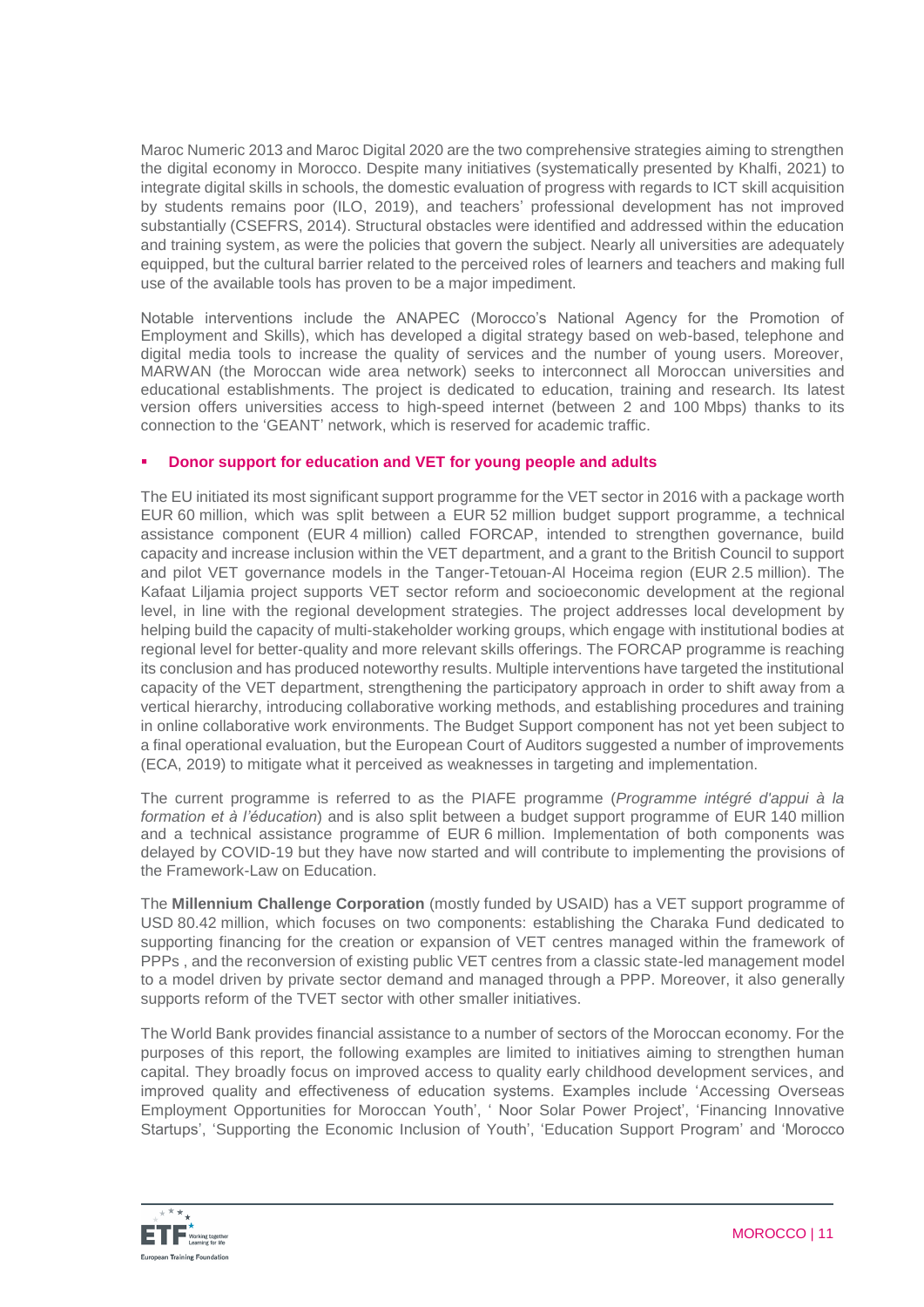Maroc Numeric 2013 and Maroc Digital 2020 are the two comprehensive strategies aiming to strengthen the digital economy in Morocco. Despite many initiatives (systematically presented by Khalfi, 2021) to integrate digital skills in schools, the domestic evaluation of progress with regards to ICT skill acquisition by students remains poor (ILO, 2019), and teachers' professional development has not improved substantially (CSEFRS, 2014). Structural obstacles were identified and addressed within the education and training system, as were the policies that govern the subject. Nearly all universities are adequately equipped, but the cultural barrier related to the perceived roles of learners and teachers and making full use of the available tools has proven to be a major impediment.

Notable interventions include the ANAPEC (Morocco's National Agency for the Promotion of Employment and Skills), which has developed a digital strategy based on web-based, telephone and digital media tools to increase the quality of services and the number of young users. Moreover, MARWAN (the Moroccan wide area network) seeks to interconnect all Moroccan universities and educational establishments. The project is dedicated to education, training and research. Its latest version offers universities access to high-speed internet (between 2 and 100 Mbps) thanks to its connection to the 'GEANT' network, which is reserved for academic traffic.

## **Donor support for education and VET for young people and adults**

The EU initiated its most significant support programme for the VET sector in 2016 with a package worth EUR 60 million, which was split between a EUR 52 million budget support programme, a technical assistance component (EUR 4 million) called FORCAP, intended to strengthen governance, build capacity and increase inclusion within the VET department, and a grant to the British Council to support and pilot VET governance models in the Tanger-Tetouan-Al Hoceima region (EUR 2.5 million). The Kafaat Liljamia project supports VET sector reform and socioeconomic development at the regional level, in line with the regional development strategies. The project addresses local development by helping build the capacity of multi-stakeholder working groups, which engage with institutional bodies at regional level for better-quality and more relevant skills offerings. The FORCAP programme is reaching its conclusion and has produced noteworthy results. Multiple interventions have targeted the institutional capacity of the VET department, strengthening the participatory approach in order to shift away from a vertical hierarchy, introducing collaborative working methods, and establishing procedures and training in online collaborative work environments. The Budget Support component has not yet been subject to a final operational evaluation, but the European Court of Auditors suggested a number of improvements (ECA, 2019) to mitigate what it perceived as weaknesses in targeting and implementation.

The current programme is referred to as the PIAFE programme (*Programme intégré d'appui à la formation et à l'éducation*) and is also split between a budget support programme of EUR 140 million and a technical assistance programme of EUR 6 million. Implementation of both components was delayed by COVID-19 but they have now started and will contribute to implementing the provisions of the Framework-Law on Education.

The **Millennium Challenge Corporation** (mostly funded by USAID) has a VET support programme of USD 80.42 million, which focuses on two components: establishing the Charaka Fund dedicated to supporting financing for the creation or expansion of VET centres managed within the framework of PPPs , and the reconversion of existing public VET centres from a classic state-led management model to a model driven by private sector demand and managed through a PPP. Moreover, it also generally supports reform of the TVET sector with other smaller initiatives.

The World Bank provides financial assistance to a number of sectors of the Moroccan economy. For the purposes of this report, the following examples are limited to initiatives aiming to strengthen human capital. They broadly focus on improved access to quality early childhood development services, and improved quality and effectiveness of education systems. Examples include 'Accessing Overseas Employment Opportunities for Moroccan Youth', ' Noor Solar Power Project', 'Financing Innovative Startups', 'Supporting the Economic Inclusion of Youth', 'Education Support Program' and 'Morocco

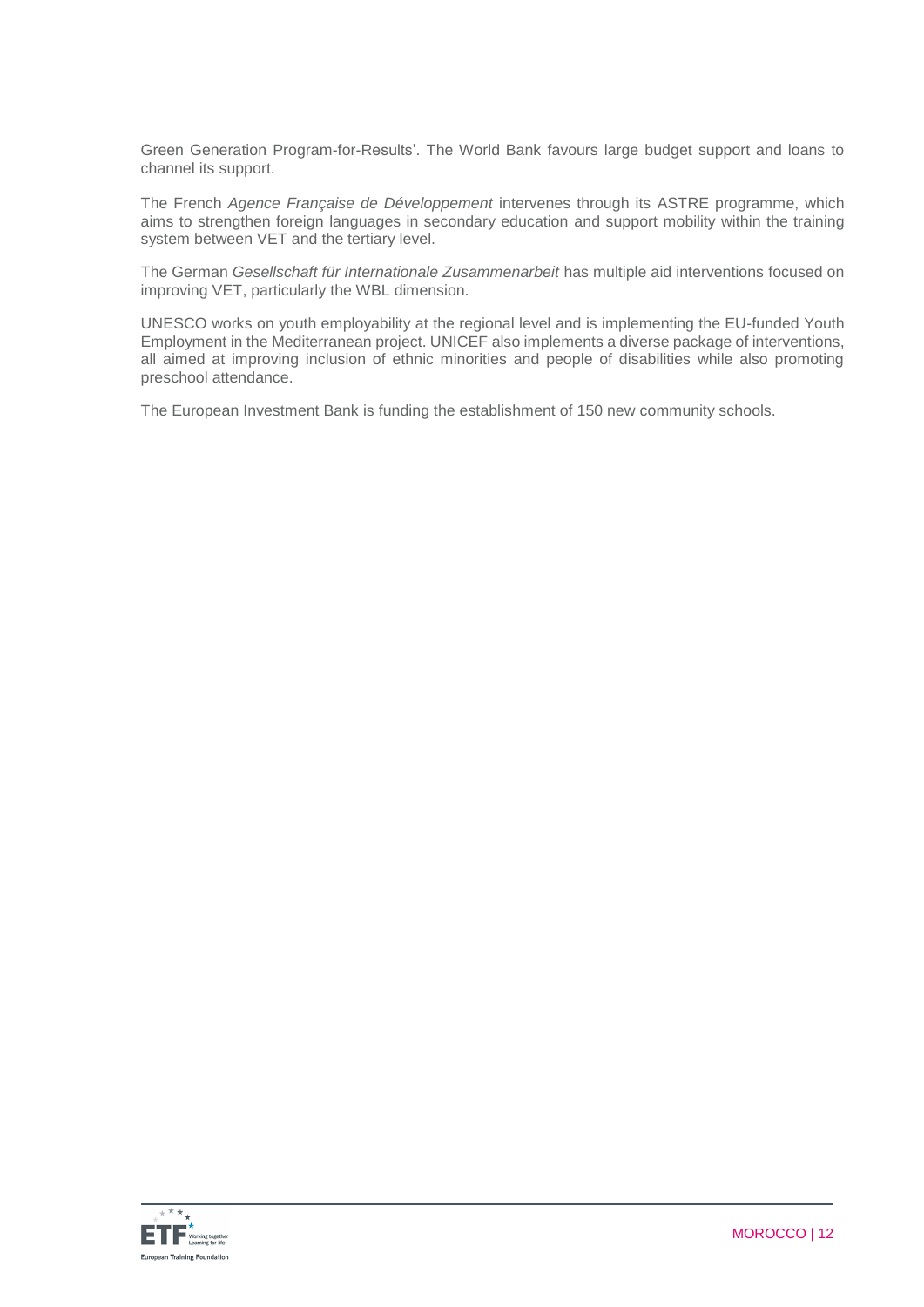Green Generation Program-for-Results'. The World Bank favours large budget support and loans to channel its support.

The French *Agence Française de Développement* intervenes through its ASTRE programme, which aims to strengthen foreign languages in secondary education and support mobility within the training system between VET and the tertiary level.

The German *Gesellschaft für Internationale Zusammenarbeit* has multiple aid interventions focused on improving VET, particularly the WBL dimension.

UNESCO works on youth employability at the regional level and is implementing the EU-funded Youth Employment in the Mediterranean project. UNICEF also implements a diverse package of interventions, all aimed at improving inclusion of ethnic minorities and people of disabilities while also promoting preschool attendance.

The European Investment Bank is funding the establishment of 150 new community schools.

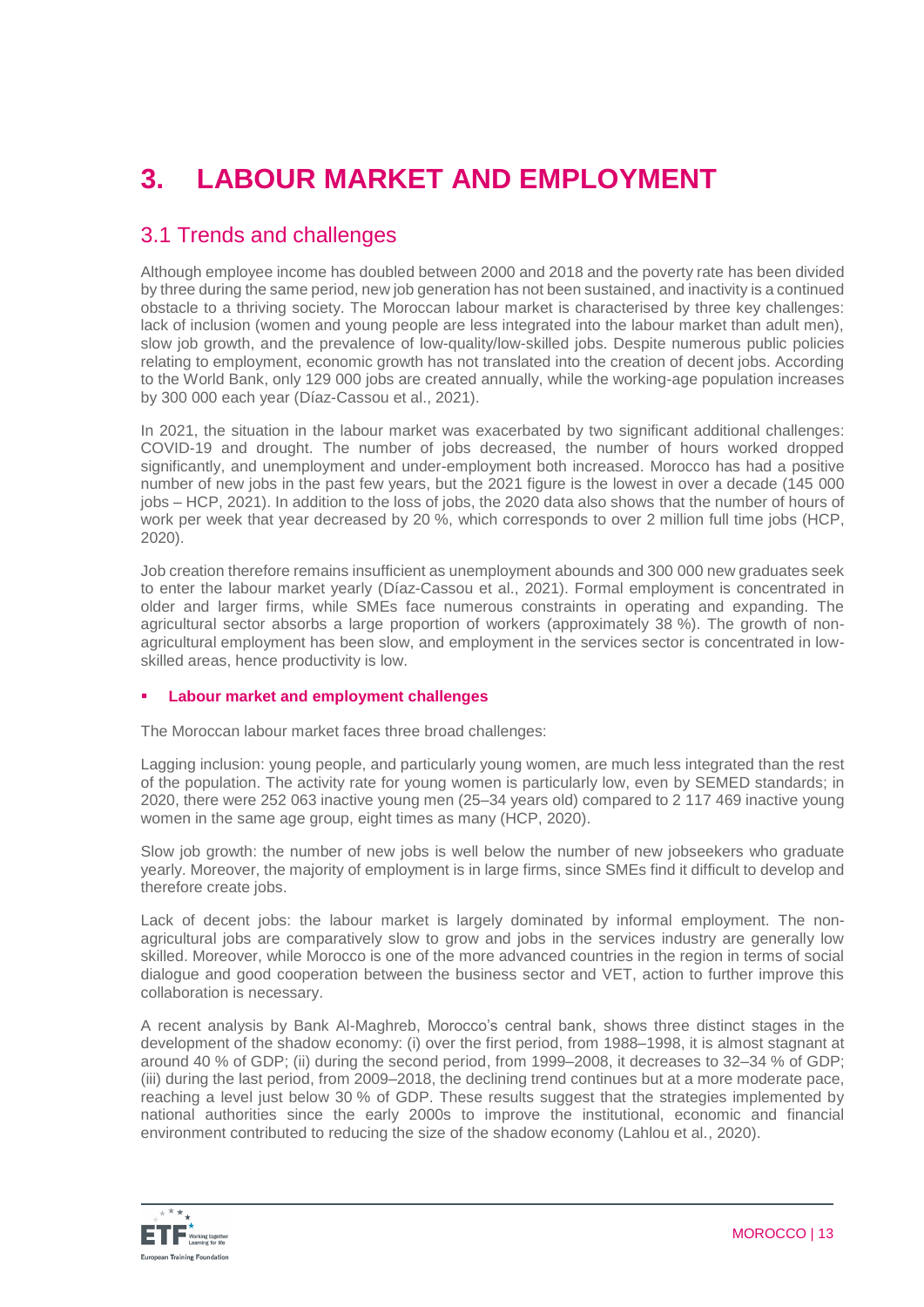# **3. LABOUR MARKET AND EMPLOYMENT**

## 3.1 Trends and challenges

Although employee income has doubled between 2000 and 2018 and the poverty rate has been divided by three during the same period, new job generation has not been sustained, and inactivity is a continued obstacle to a thriving society. The Moroccan labour market is characterised by three key challenges: lack of inclusion (women and young people are less integrated into the labour market than adult men), slow job growth, and the prevalence of low-quality/low-skilled jobs. Despite numerous public policies relating to employment, economic growth has not translated into the creation of decent jobs. According to the World Bank, only 129 000 jobs are created annually, while the working-age population increases by 300 000 each year (Díaz-Cassou et al., 2021).

In 2021, the situation in the labour market was exacerbated by two significant additional challenges: COVID-19 and drought. The number of jobs decreased, the number of hours worked dropped significantly, and unemployment and under-employment both increased. Morocco has had a positive number of new jobs in the past few years, but the 2021 figure is the lowest in over a decade (145 000 jobs – HCP, 2021). In addition to the loss of jobs, the 2020 data also shows that the number of hours of work per week that year decreased by 20 %, which corresponds to over 2 million full time jobs (HCP, 2020).

Job creation therefore remains insufficient as unemployment abounds and 300 000 new graduates seek to enter the labour market yearly (Díaz-Cassou et al., 2021). Formal employment is concentrated in older and larger firms, while SMEs face numerous constraints in operating and expanding. The agricultural sector absorbs a large proportion of workers (approximately 38 %). The growth of nonagricultural employment has been slow, and employment in the services sector is concentrated in lowskilled areas, hence productivity is low.

## **Labour market and employment challenges**

The Moroccan labour market faces three broad challenges:

Lagging inclusion: young people, and particularly young women, are much less integrated than the rest of the population. The activity rate for young women is particularly low, even by SEMED standards; in 2020, there were 252 063 inactive young men (25–34 years old) compared to 2 117 469 inactive young women in the same age group, eight times as many (HCP, 2020).

Slow job growth: the number of new jobs is well below the number of new jobseekers who graduate yearly. Moreover, the majority of employment is in large firms, since SMEs find it difficult to develop and therefore create jobs.

Lack of decent jobs: the labour market is largely dominated by informal employment. The nonagricultural jobs are comparatively slow to grow and jobs in the services industry are generally low skilled. Moreover, while Morocco is one of the more advanced countries in the region in terms of social dialogue and good cooperation between the business sector and VET, action to further improve this collaboration is necessary.

A recent analysis by Bank Al-Maghreb, Morocco's central bank, shows three distinct stages in the development of the shadow economy: (i) over the first period, from 1988–1998, it is almost stagnant at around 40 % of GDP; (ii) during the second period, from 1999–2008, it decreases to 32–34 % of GDP; (iii) during the last period, from 2009–2018, the declining trend continues but at a more moderate pace, reaching a level just below 30 % of GDP. These results suggest that the strategies implemented by national authorities since the early 2000s to improve the institutional, economic and financial environment contributed to reducing the size of the shadow economy (Lahlou et al., 2020).

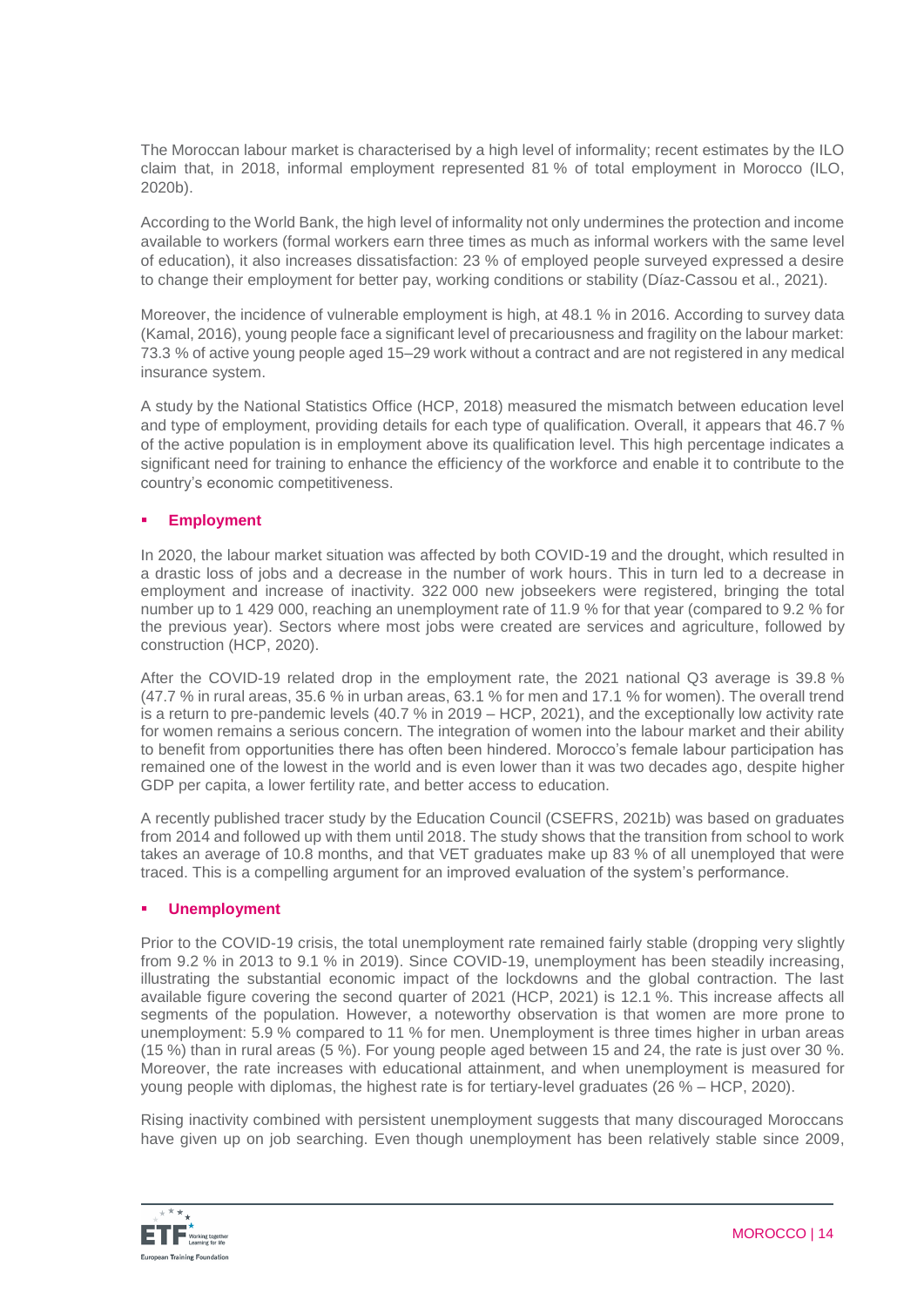The Moroccan labour market is characterised by a high level of informality; recent estimates by the ILO claim that, in 2018, informal employment represented 81 % of total employment in Morocco (ILO, 2020b).

According to the World Bank, the high level of informality not only undermines the protection and income available to workers (formal workers earn three times as much as informal workers with the same level of education), it also increases dissatisfaction: 23 % of employed people surveyed expressed a desire to change their employment for better pay, working conditions or stability (Díaz-Cassou et al., 2021).

Moreover, the incidence of vulnerable employment is high, at 48.1 % in 2016. According to survey data (Kamal, 2016), young people face a significant level of precariousness and fragility on the labour market: 73.3 % of active young people aged 15–29 work without a contract and are not registered in any medical insurance system.

A study by the National Statistics Office (HCP, 2018) measured the mismatch between education level and type of employment, providing details for each type of qualification. Overall, it appears that 46.7 % of the active population is in employment above its qualification level. This high percentage indicates a significant need for training to enhance the efficiency of the workforce and enable it to contribute to the country's economic competitiveness.

## **Employment**

In 2020, the labour market situation was affected by both COVID-19 and the drought, which resulted in a drastic loss of jobs and a decrease in the number of work hours. This in turn led to a decrease in employment and increase of inactivity. 322 000 new jobseekers were registered, bringing the total number up to 1 429 000, reaching an unemployment rate of 11.9 % for that year (compared to 9.2 % for the previous year). Sectors where most jobs were created are services and agriculture, followed by construction (HCP, 2020).

After the COVID-19 related drop in the employment rate, the 2021 national Q3 average is 39.8 % (47.7 % in rural areas, 35.6 % in urban areas, 63.1 % for men and 17.1 % for women). The overall trend is a return to pre-pandemic levels (40.7 % in 2019 – HCP, 2021), and the exceptionally low activity rate for women remains a serious concern. The integration of women into the labour market and their ability to benefit from opportunities there has often been hindered. Morocco's female labour participation has remained one of the lowest in the world and is even lower than it was two decades ago, despite higher GDP per capita, a lower fertility rate, and better access to education.

A recently published tracer study by the Education Council (CSEFRS, 2021b) was based on graduates from 2014 and followed up with them until 2018. The study shows that the transition from school to work takes an average of 10.8 months, and that VET graduates make up 83 % of all unemployed that were traced. This is a compelling argument for an improved evaluation of the system's performance.

### **Unemployment**

Prior to the COVID-19 crisis, the total unemployment rate remained fairly stable (dropping very slightly from 9.2 % in 2013 to 9.1 % in 2019). Since COVID-19, unemployment has been steadily increasing, illustrating the substantial economic impact of the lockdowns and the global contraction. The last available figure covering the second quarter of 2021 (HCP, 2021) is 12.1 %. This increase affects all segments of the population. However, a noteworthy observation is that women are more prone to unemployment: 5.9 % compared to 11 % for men. Unemployment is three times higher in urban areas (15 %) than in rural areas (5 %). For young people aged between 15 and 24, the rate is just over 30 %. Moreover, the rate increases with educational attainment, and when unemployment is measured for young people with diplomas, the highest rate is for tertiary-level graduates (26 % – HCP, 2020).

Rising inactivity combined with persistent unemployment suggests that many discouraged Moroccans have given up on job searching. Even though unemployment has been relatively stable since 2009,

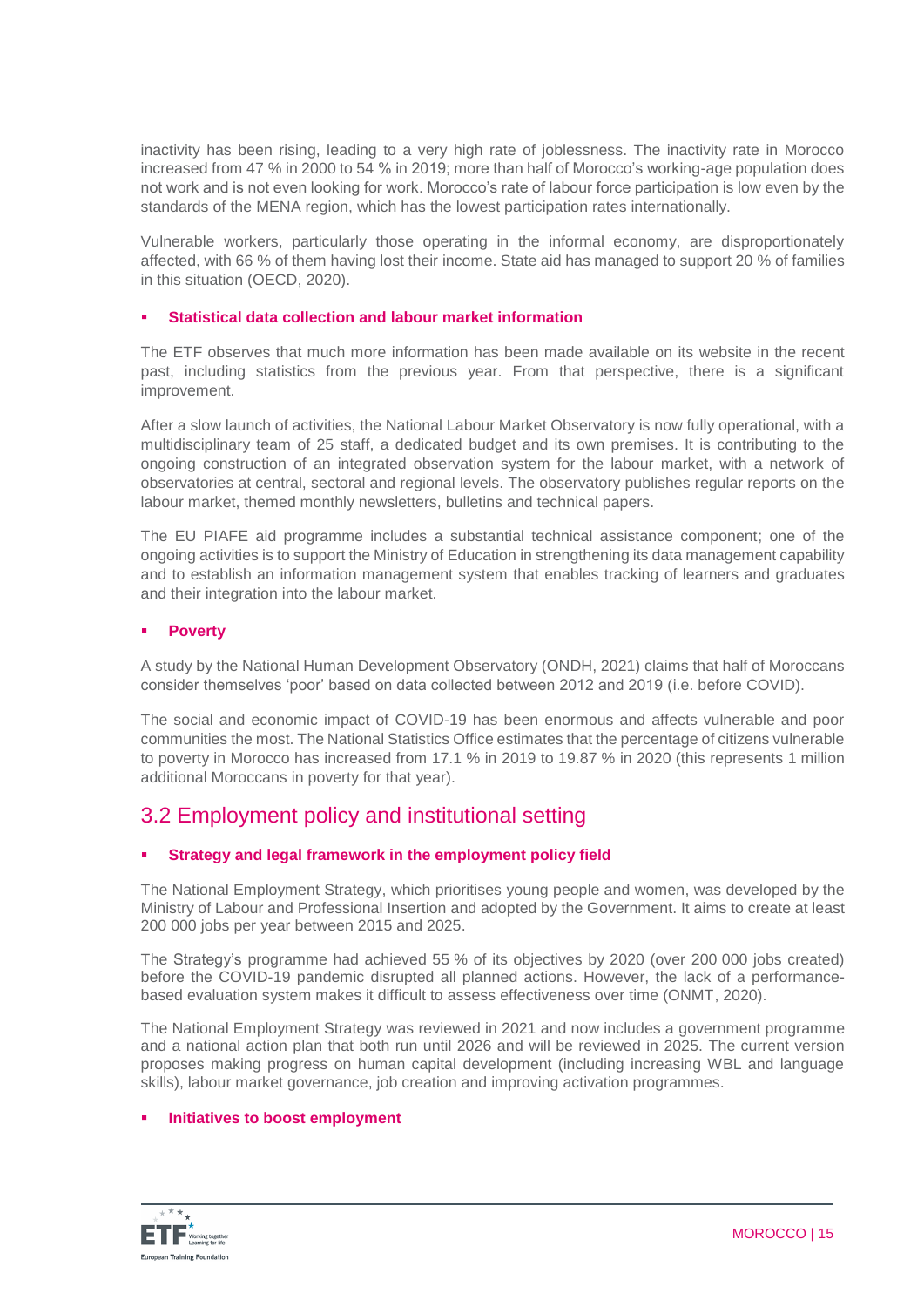inactivity has been rising, leading to a very high rate of joblessness. The inactivity rate in Morocco increased from 47 % in 2000 to 54 % in 2019; more than half of Morocco's working-age population does not work and is not even looking for work. Morocco's rate of labour force participation is low even by the standards of the MENA region, which has the lowest participation rates internationally.

Vulnerable workers, particularly those operating in the informal economy, are disproportionately affected, with 66 % of them having lost their income. State aid has managed to support 20 % of families in this situation (OECD, 2020).

## **Statistical data collection and labour market information**

The ETF observes that much more information has been made available on its website in the recent past, including statistics from the previous year. From that perspective, there is a significant improvement.

After a slow launch of activities, the National Labour Market Observatory is now fully operational, with a multidisciplinary team of 25 staff, a dedicated budget and its own premises. It is contributing to the ongoing construction of an integrated observation system for the labour market, with a network of observatories at central, sectoral and regional levels. The observatory publishes regular reports on the labour market, themed monthly newsletters, bulletins and technical papers.

The EU PIAFE aid programme includes a substantial technical assistance component; one of the ongoing activities is to support the Ministry of Education in strengthening its data management capability and to establish an information management system that enables tracking of learners and graduates and their integration into the labour market.

## **Poverty**

A study by the National Human Development Observatory (ONDH, 2021) claims that half of Moroccans consider themselves 'poor' based on data collected between 2012 and 2019 (i.e. before COVID).

The social and economic impact of COVID-19 has been enormous and affects vulnerable and poor communities the most. The National Statistics Office estimates that the percentage of citizens vulnerable to poverty in Morocco has increased from 17.1 % in 2019 to 19.87 % in 2020 (this represents 1 million additional Moroccans in poverty for that year).

## 3.2 Employment policy and institutional setting

## **Strategy and legal framework in the employment policy field**

The National Employment Strategy, which prioritises young people and women, was developed by the Ministry of Labour and Professional Insertion and adopted by the Government. It aims to create at least 200 000 jobs per year between 2015 and 2025.

The Strategy's programme had achieved 55 % of its objectives by 2020 (over 200 000 jobs created) before the COVID-19 pandemic disrupted all planned actions. However, the lack of a performancebased evaluation system makes it difficult to assess effectiveness over time (ONMT, 2020).

The National Employment Strategy was reviewed in 2021 and now includes a government programme and a national action plan that both run until 2026 and will be reviewed in 2025. The current version proposes making progress on human capital development (including increasing WBL and language skills), labour market governance, job creation and improving activation programmes.

### **Initiatives to boost employment**

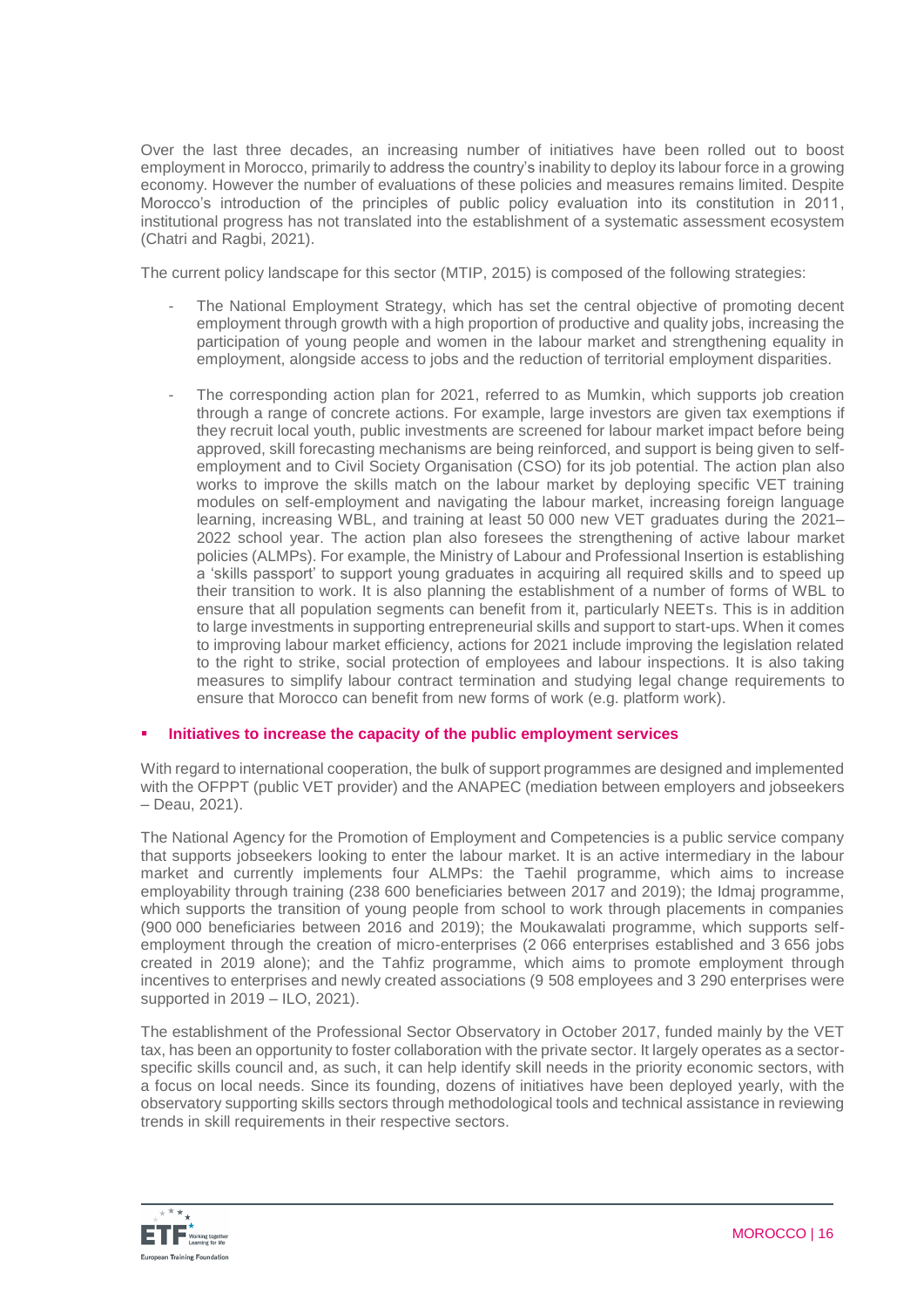Over the last three decades, an increasing number of initiatives have been rolled out to boost employment in Morocco, primarily to address the country's inability to deploy its labour force in a growing economy. However the number of evaluations of these policies and measures remains limited. Despite Morocco's introduction of the principles of public policy evaluation into its constitution in 2011, institutional progress has not translated into the establishment of a systematic assessment ecosystem (Chatri and Ragbi, 2021).

The current policy landscape for this sector (MTIP, 2015) is composed of the following strategies:

- The National Employment Strategy, which has set the central objective of promoting decent employment through growth with a high proportion of productive and quality jobs, increasing the participation of young people and women in the labour market and strengthening equality in employment, alongside access to jobs and the reduction of territorial employment disparities.
- The corresponding action plan for 2021, referred to as Mumkin, which supports job creation through a range of concrete actions. For example, large investors are given tax exemptions if they recruit local youth, public investments are screened for labour market impact before being approved, skill forecasting mechanisms are being reinforced, and support is being given to selfemployment and to Civil Society Organisation (CSO) for its job potential. The action plan also works to improve the skills match on the labour market by deploying specific VET training modules on self-employment and navigating the labour market, increasing foreign language learning, increasing WBL, and training at least 50 000 new VET graduates during the 2021– 2022 school year. The action plan also foresees the strengthening of active labour market policies (ALMPs). For example, the Ministry of Labour and Professional Insertion is establishing a 'skills passport' to support young graduates in acquiring all required skills and to speed up their transition to work. It is also planning the establishment of a number of forms of WBL to ensure that all population segments can benefit from it, particularly NEETs. This is in addition to large investments in supporting entrepreneurial skills and support to start-ups. When it comes to improving labour market efficiency, actions for 2021 include improving the legislation related to the right to strike, social protection of employees and labour inspections. It is also taking measures to simplify labour contract termination and studying legal change requirements to ensure that Morocco can benefit from new forms of work (e.g. platform work).

## **Initiatives to increase the capacity of the public employment services**

With regard to international cooperation, the bulk of support programmes are designed and implemented with the OFPPT (public VET provider) and the ANAPEC (mediation between employers and jobseekers – Deau, 2021).

The National Agency for the Promotion of Employment and Competencies is a public service company that supports jobseekers looking to enter the labour market. It is an active intermediary in the labour market and currently implements four ALMPs: the Taehil programme, which aims to increase employability through training (238 600 beneficiaries between 2017 and 2019); the Idmaj programme, which supports the transition of young people from school to work through placements in companies (900 000 beneficiaries between 2016 and 2019); the Moukawalati programme, which supports selfemployment through the creation of micro-enterprises (2 066 enterprises established and 3 656 jobs created in 2019 alone); and the Tahfiz programme, which aims to promote employment through incentives to enterprises and newly created associations (9 508 employees and 3 290 enterprises were supported in 2019 – ILO, 2021).

The establishment of the Professional Sector Observatory in October 2017, funded mainly by the VET tax, has been an opportunity to foster collaboration with the private sector. It largely operates as a sectorspecific skills council and, as such, it can help identify skill needs in the priority economic sectors, with a focus on local needs. Since its founding, dozens of initiatives have been deployed yearly, with the observatory supporting skills sectors through methodological tools and technical assistance in reviewing trends in skill requirements in their respective sectors.

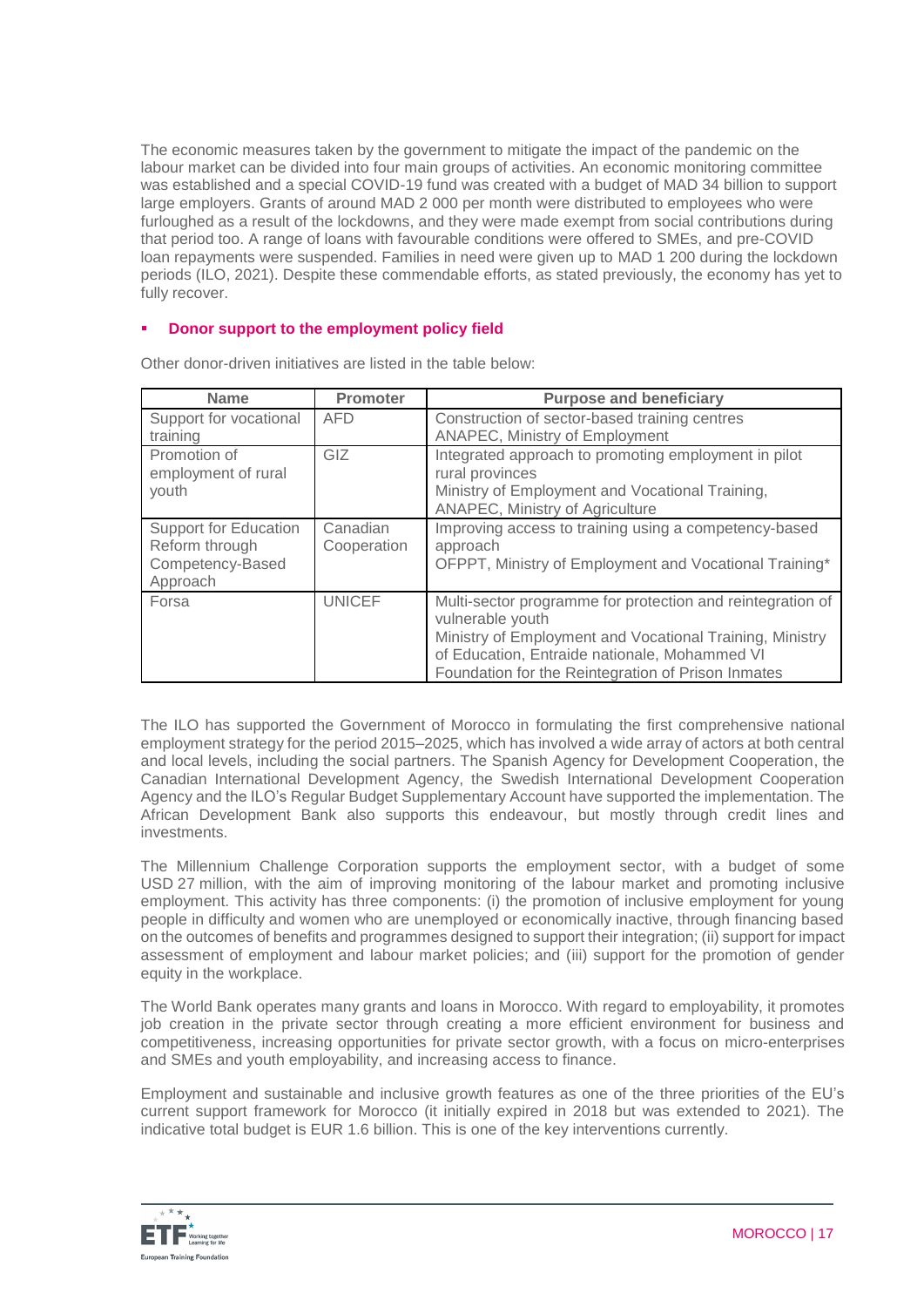The economic measures taken by the government to mitigate the impact of the pandemic on the labour market can be divided into four main groups of activities. An economic monitoring committee was established and a special COVID-19 fund was created with a budget of MAD 34 billion to support large employers. Grants of around MAD 2 000 per month were distributed to employees who were furloughed as a result of the lockdowns, and they were made exempt from social contributions during that period too. A range of loans with favourable conditions were offered to SMEs, and pre-COVID loan repayments were suspended. Families in need were given up to MAD 1 200 during the lockdown periods (ILO, 2021). Despite these commendable efforts, as stated previously, the economy has yet to fully recover.

## **Donor support to the employment policy field**

| <b>Name</b>                                                                    | Promoter                | <b>Purpose and beneficiary</b>                                                                                                                                                                                                                    |
|--------------------------------------------------------------------------------|-------------------------|---------------------------------------------------------------------------------------------------------------------------------------------------------------------------------------------------------------------------------------------------|
| Support for vocational<br>training                                             | <b>AFD</b>              | Construction of sector-based training centres<br><b>ANAPEC, Ministry of Employment</b>                                                                                                                                                            |
| Promotion of<br>employment of rural<br>youth                                   | <b>GIZ</b>              | Integrated approach to promoting employment in pilot<br>rural provinces<br>Ministry of Employment and Vocational Training,<br>ANAPEC, Ministry of Agriculture                                                                                     |
| <b>Support for Education</b><br>Reform through<br>Competency-Based<br>Approach | Canadian<br>Cooperation | Improving access to training using a competency-based<br>approach<br>OFPPT, Ministry of Employment and Vocational Training*                                                                                                                       |
| Forsa                                                                          | <b>UNICEF</b>           | Multi-sector programme for protection and reintegration of<br>vulnerable youth<br>Ministry of Employment and Vocational Training, Ministry<br>of Education, Entraide nationale, Mohammed VI<br>Foundation for the Reintegration of Prison Inmates |

Other donor-driven initiatives are listed in the table below:

The ILO has supported the Government of Morocco in formulating the first comprehensive national employment strategy for the period 2015–2025, which has involved a wide array of actors at both central and local levels, including the social partners. The Spanish Agency for Development Cooperation, the Canadian International Development Agency, the Swedish International Development Cooperation Agency and the ILO's Regular Budget Supplementary Account have supported the implementation. The African Development Bank also supports this endeavour, but mostly through credit lines and investments.

The Millennium Challenge Corporation supports the employment sector, with a budget of some USD 27 million, with the aim of improving monitoring of the labour market and promoting inclusive employment. This activity has three components: (i) the promotion of inclusive employment for young people in difficulty and women who are unemployed or economically inactive, through financing based on the outcomes of benefits and programmes designed to support their integration; (ii) support for impact assessment of employment and labour market policies; and (iii) support for the promotion of gender equity in the workplace.

The World Bank operates many grants and loans in Morocco. With regard to employability, it promotes job creation in the private sector through creating a more efficient environment for business and competitiveness, increasing opportunities for private sector growth, with a focus on micro-enterprises and SMEs and youth employability, and increasing access to finance.

Employment and sustainable and inclusive growth features as one of the three priorities of the EU's current support framework for Morocco (it initially expired in 2018 but was extended to 2021). The indicative total budget is EUR 1.6 billion. This is one of the key interventions currently.

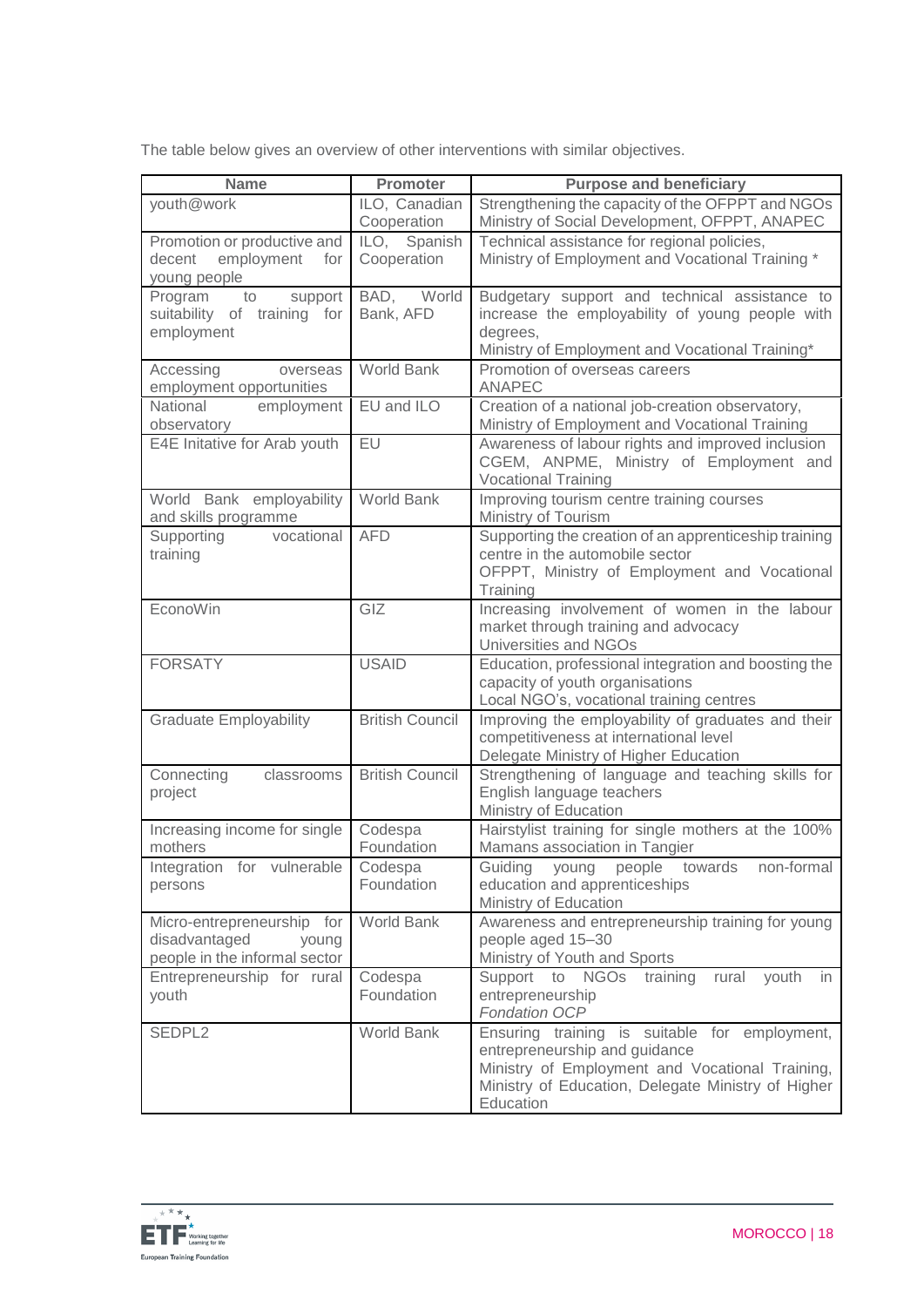The table below gives an overview of other interventions with similar objectives.

| <b>Name</b>                                                 | <b>Promoter</b>             | <b>Purpose and beneficiary</b>                                                                  |
|-------------------------------------------------------------|-----------------------------|-------------------------------------------------------------------------------------------------|
| youth@work                                                  | ILO, Canadian               | Strengthening the capacity of the OFPPT and NGOs                                                |
|                                                             | Cooperation                 | Ministry of Social Development, OFPPT, ANAPEC                                                   |
| Promotion or productive and<br>employment<br>decent<br>for  | ILO, Spanish<br>Cooperation | Technical assistance for regional policies,<br>Ministry of Employment and Vocational Training * |
| young people                                                |                             |                                                                                                 |
| support<br>Program<br>to                                    | BAD,<br>World               | Budgetary support and technical assistance to                                                   |
| suitability of training for<br>employment                   | Bank, AFD                   | increase the employability of young people with<br>degrees,                                     |
|                                                             |                             | Ministry of Employment and Vocational Training*                                                 |
| Accessing<br>overseas                                       | <b>World Bank</b>           | Promotion of overseas careers                                                                   |
| employment opportunities<br>National                        | EU and ILO                  | <b>ANAPEC</b><br>Creation of a national job-creation observatory,                               |
| employment<br>observatory                                   |                             | Ministry of Employment and Vocational Training                                                  |
| E4E Initative for Arab youth                                | EU                          | Awareness of labour rights and improved inclusion                                               |
|                                                             |                             | CGEM, ANPME, Ministry of Employment and<br><b>Vocational Training</b>                           |
| World Bank employability                                    | <b>World Bank</b>           | Improving tourism centre training courses                                                       |
| and skills programme                                        |                             | Ministry of Tourism                                                                             |
| Supporting<br>vocational                                    | <b>AFD</b>                  | Supporting the creation of an apprenticeship training<br>centre in the automobile sector        |
| training                                                    |                             | OFPPT, Ministry of Employment and Vocational                                                    |
|                                                             |                             | Training                                                                                        |
| EconoWin                                                    | GIZ                         | Increasing involvement of women in the labour                                                   |
|                                                             |                             | market through training and advocacy<br>Universities and NGOs                                   |
| <b>FORSATY</b>                                              | <b>USAID</b>                | Education, professional integration and boosting the                                            |
|                                                             |                             | capacity of youth organisations                                                                 |
|                                                             |                             | Local NGO's, vocational training centres                                                        |
| <b>Graduate Employability</b>                               | <b>British Council</b>      | Improving the employability of graduates and their<br>competitiveness at international level    |
|                                                             |                             | Delegate Ministry of Higher Education                                                           |
| Connecting<br>classrooms                                    | <b>British Council</b>      | Strengthening of language and teaching skills for                                               |
| project                                                     |                             | English language teachers                                                                       |
| Increasing income for single                                | Codespa                     | Ministry of Education<br>Hairstylist training for single mothers at the 100%                    |
| mothers                                                     | Foundation                  | Mamans association in Tangier                                                                   |
| Integration for vulnerable                                  | Codespa                     | Guiding young people towards<br>non-formal                                                      |
| persons                                                     | Foundation                  | education and apprenticeships<br>Ministry of Education                                          |
| Micro-entrepreneurship for                                  | World Bank                  | Awareness and entrepreneurship training for young                                               |
| disadvantaged<br>young                                      |                             | people aged 15-30                                                                               |
| people in the informal sector<br>Entrepreneurship for rural | Codespa                     | Ministry of Youth and Sports<br>Support to NGOs training<br>youth<br>rural<br>in                |
| youth                                                       | Foundation                  | entrepreneurship                                                                                |
|                                                             |                             | <b>Fondation OCP</b>                                                                            |
| SEDPL2                                                      | World Bank                  | Ensuring training is suitable for employment,                                                   |
|                                                             |                             | entrepreneurship and guidance<br>Ministry of Employment and Vocational Training,                |
|                                                             |                             | Ministry of Education, Delegate Ministry of Higher                                              |
|                                                             |                             | Education                                                                                       |

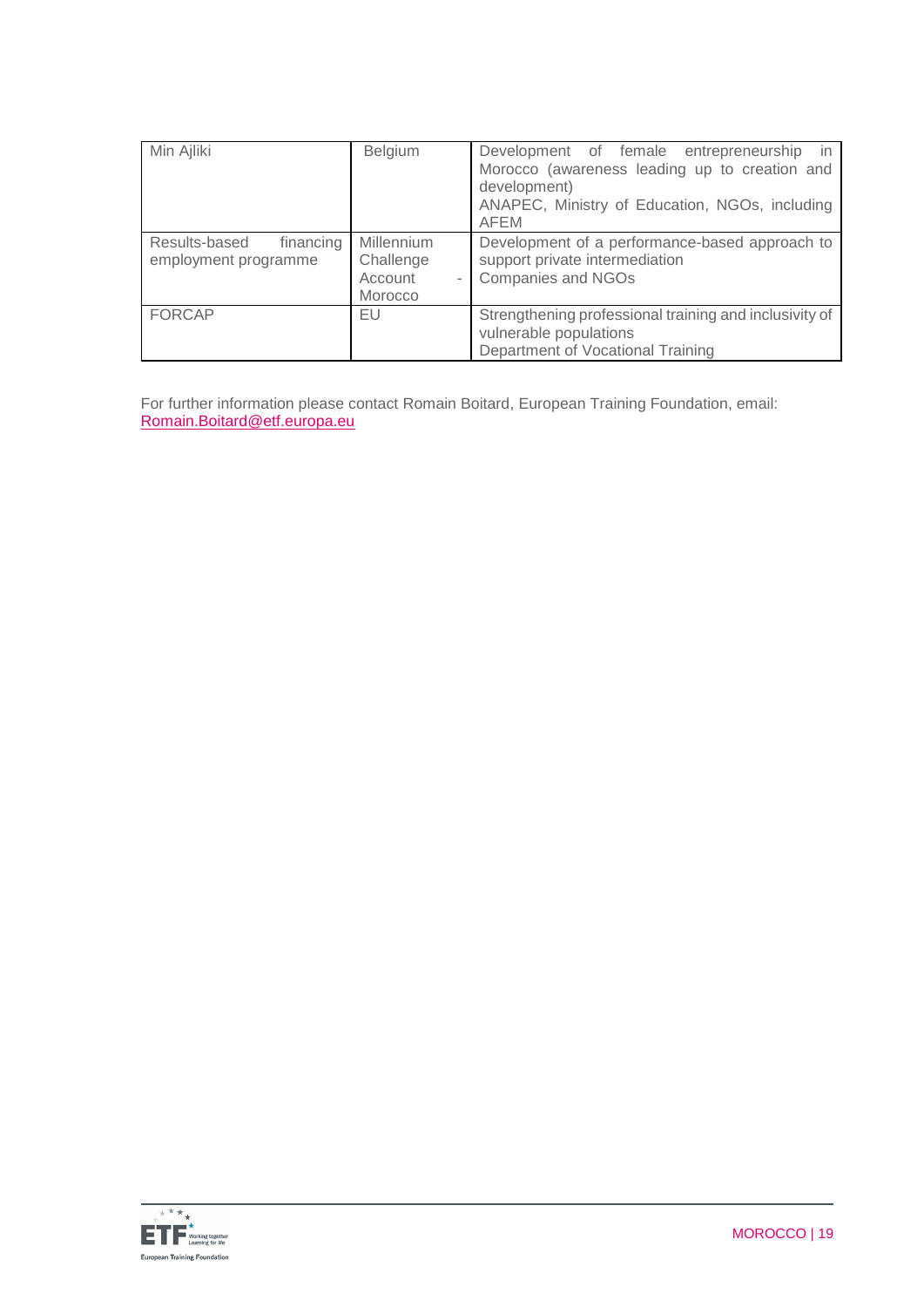| Min Ajliki                                         | Belgium                                              | Development of female entrepreneurship<br>in<br>Morocco (awareness leading up to creation and<br>development)<br>ANAPEC, Ministry of Education, NGOs, including<br><b>AFEM</b> |
|----------------------------------------------------|------------------------------------------------------|--------------------------------------------------------------------------------------------------------------------------------------------------------------------------------|
| Results-based<br>financing<br>employment programme | Millennium<br>Challenge<br>Account<br><b>Morocco</b> | Development of a performance-based approach to<br>support private intermediation<br><b>Companies and NGOs</b>                                                                  |
| <b>FORCAP</b>                                      | EU                                                   | Strengthening professional training and inclusivity of<br>vulnerable populations<br>Department of Vocational Training                                                          |

For further information please contact Romain Boitard, European Training Foundation, email: [Romain.Boitard@etf.europa.eu](mailto:Evelyn.Viertel@etf.europa.eu)

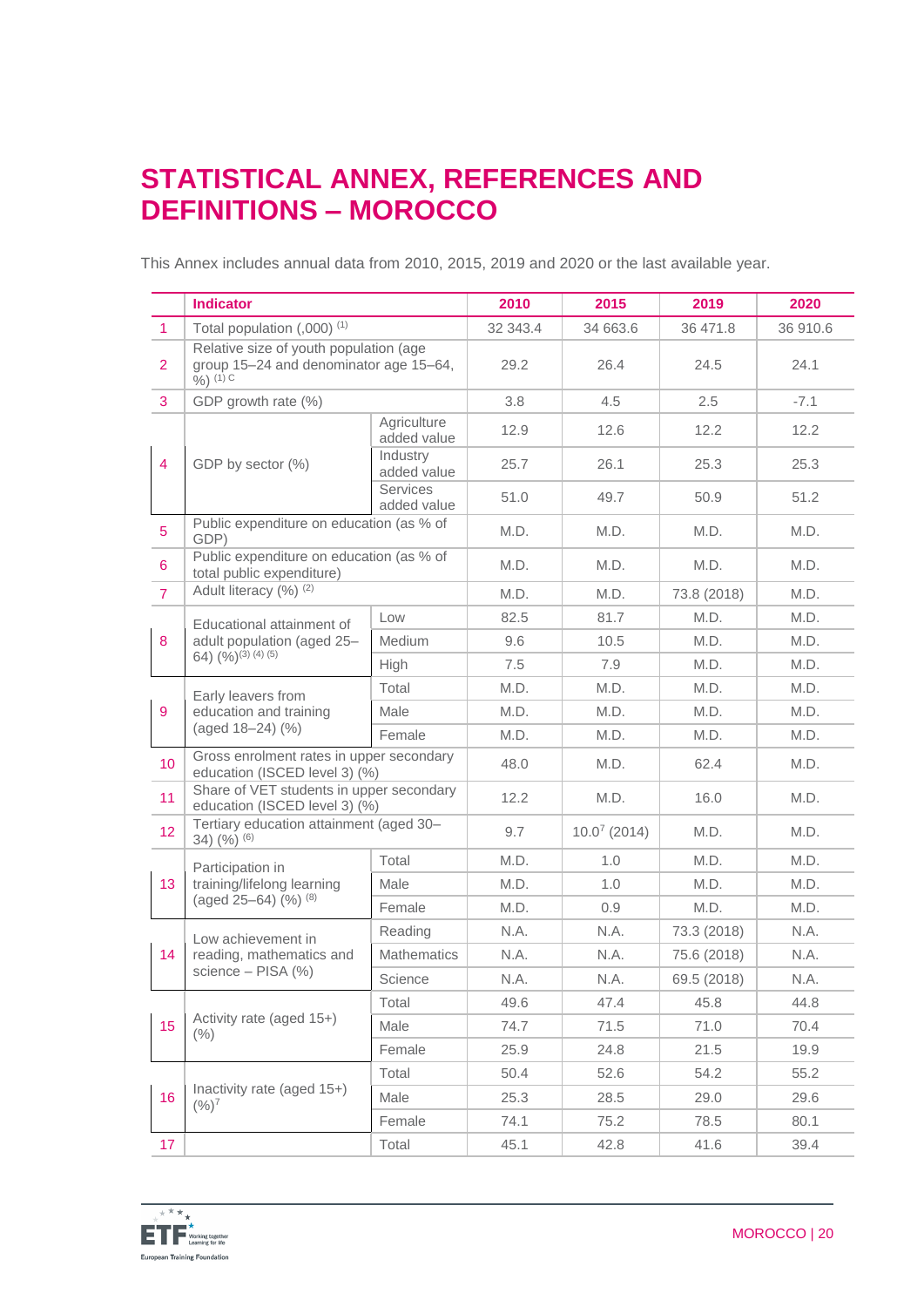# **STATISTICAL ANNEX, REFERENCES AND DEFINITIONS – MOROCCO**

This Annex includes annual data from 2010, 2015, 2019 and 2020 or the last available year.

|                | <b>Indicator</b>                                                                                        |                            | 2010     | 2015              | 2019        | 2020     |
|----------------|---------------------------------------------------------------------------------------------------------|----------------------------|----------|-------------------|-------------|----------|
| $\mathbf{1}$   | Total population (,000) <sup>(1)</sup>                                                                  |                            | 32 343.4 | 34 663.6          | 36 471.8    | 36 910.6 |
| $\overline{2}$ | Relative size of youth population (age<br>group 15-24 and denominator age 15-64,<br>$\frac{6}{9}$ (1) C |                            | 29.2     | 26.4              | 24.5        | 24.1     |
| 3              | GDP growth rate (%)                                                                                     |                            | 3.8      | 4.5               | 2.5         | $-7.1$   |
|                |                                                                                                         | Agriculture<br>added value | 12.9     | 12.6              | 12.2        | 12.2     |
| $\overline{4}$ | GDP by sector (%)                                                                                       | Industry<br>added value    | 25.7     | 26.1              | 25.3        | 25.3     |
|                |                                                                                                         | Services<br>added value    | 51.0     | 49.7              | 50.9        | 51.2     |
| 5              | Public expenditure on education (as % of<br>GDP)                                                        |                            | M.D.     | M.D.              | M.D.        | M.D.     |
| 6              | Public expenditure on education (as % of<br>total public expenditure)                                   |                            | M.D.     | M.D.              | M.D.        | M.D.     |
| $\overline{7}$ | Adult literacy (%) (2)                                                                                  |                            | M.D.     | M.D.              | 73.8 (2018) | M.D.     |
|                | Educational attainment of                                                                               | Low                        | 82.5     | 81.7              | M.D.        | M.D.     |
| 8              | adult population (aged 25-                                                                              | Medium                     | 9.6      | 10.5              | M.D.        | M.D.     |
|                | 64) $(9/6)^{(3)(4)(5)}$                                                                                 | High                       | 7.5      | 7.9               | M.D.        | M.D.     |
|                | Early leavers from                                                                                      | Total                      | M.D.     | M.D.              | M.D.        | M.D.     |
| 9              | education and training                                                                                  | Male                       | M.D.     | M.D.              | M.D.        | M.D.     |
|                | (aged 18-24) (%)                                                                                        | Female                     | M.D.     | M.D.              | M.D.        | M.D.     |
| 10             | Gross enrolment rates in upper secondary<br>education (ISCED level 3) (%)                               |                            | 48.0     | M.D.              | 62.4        | M.D.     |
| 11             | Share of VET students in upper secondary<br>education (ISCED level 3) (%)                               |                            | 12.2     | M.D.              | 16.0        | M.D.     |
| 12             | Tertiary education attainment (aged 30-<br>34) $(%)$ (6)                                                |                            | 9.7      | $10.0^{7}$ (2014) | M.D.        | M.D.     |
|                | Participation in                                                                                        | Total                      | M.D.     | 1.0               | M.D.        | M.D.     |
| 13             | training/lifelong learning<br>(aged 25-64) (%) (8)                                                      | Male                       | M.D.     | 1.0               | M.D.        | M.D.     |
|                |                                                                                                         | Female                     | M.D.     | 0.9               | M.D.        | M.D.     |
|                | Low achievement in<br>reading, mathematics and<br>science - PISA (%)                                    | Reading                    | N.A.     | N.A.              | 73.3 (2018) | N.A.     |
| 14             |                                                                                                         | <b>Mathematics</b>         | N.A.     | N.A.              | 75.6 (2018) | N.A.     |
|                |                                                                                                         | Science                    | N.A.     | N.A.              | 69.5 (2018) | N.A.     |
| 15             |                                                                                                         | Total                      | 49.6     | 47.4              | 45.8        | 44.8     |
|                | Activity rate (aged 15+)<br>$(\% )$                                                                     | Male                       | 74.7     | 71.5              | 71.0        | 70.4     |
|                |                                                                                                         | Female                     | 25.9     | 24.8              | 21.5        | 19.9     |
|                |                                                                                                         | Total                      | 50.4     | 52.6              | 54.2        | 55.2     |
| 16             | Inactivity rate (aged 15+)<br>$(%)^7$                                                                   | Male                       | 25.3     | 28.5              | 29.0        | 29.6     |
|                |                                                                                                         | Female                     | 74.1     | 75.2              | 78.5        | 80.1     |
| 17             |                                                                                                         | Total                      | 45.1     | 42.8              | 41.6        | 39.4     |

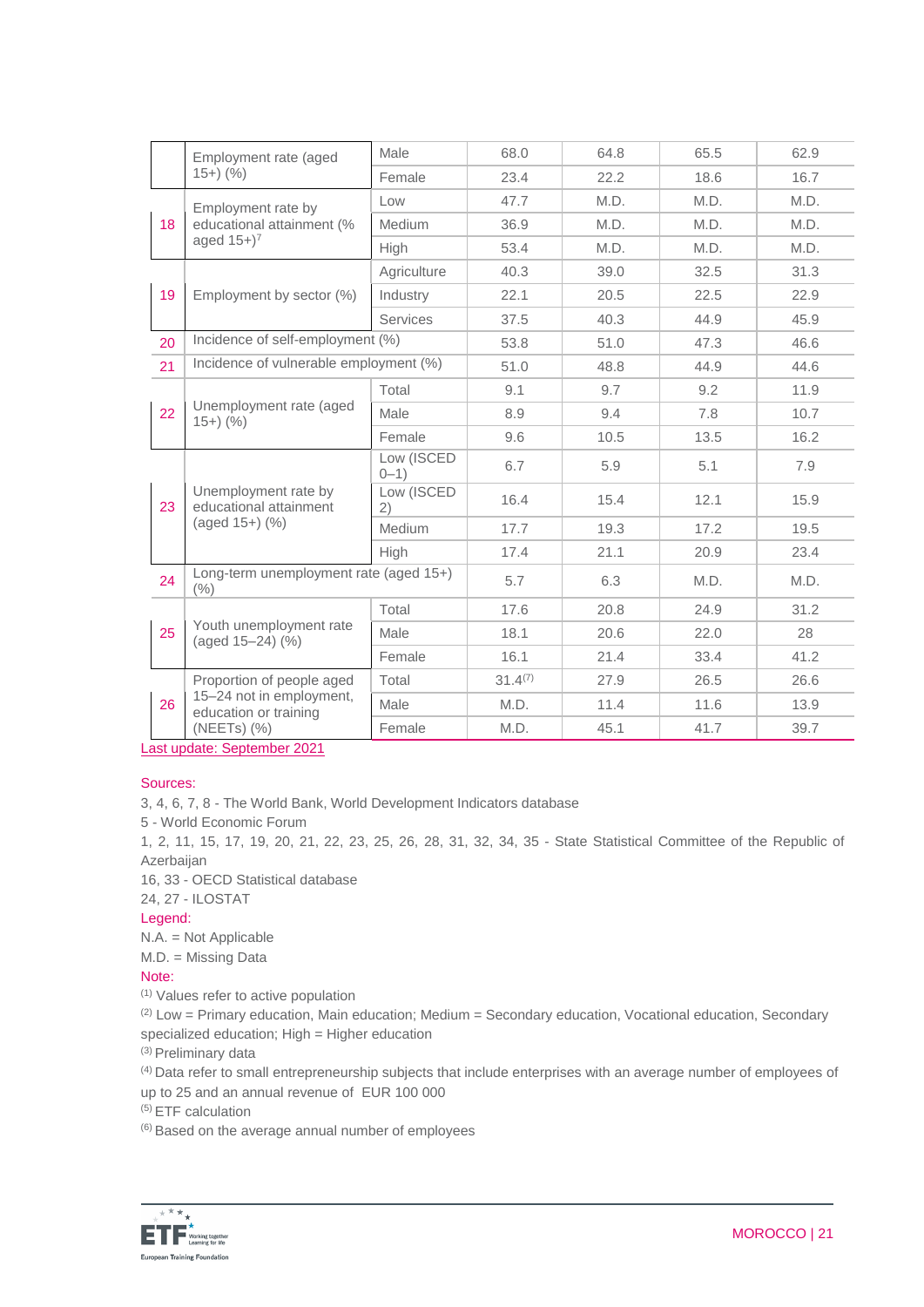|    | Employment rate (aged<br>$(15+)$ (%)                                  | Male                   | 68.0         | 64.8 | 65.5 | 62.9 |
|----|-----------------------------------------------------------------------|------------------------|--------------|------|------|------|
|    |                                                                       | Female                 | 23.4         | 22.2 | 18.6 | 16.7 |
|    | Employment rate by<br>educational attainment (%                       | Low                    | 47.7         | M.D. | M.D. | M.D. |
| 18 |                                                                       | Medium                 | 36.9         | M.D. | M.D. | M.D. |
|    | aged $15+$ <sup>7</sup>                                               | High                   | 53.4         | M.D. | M.D. | M.D. |
|    |                                                                       | Agriculture            | 40.3         | 39.0 | 32.5 | 31.3 |
| 19 | Employment by sector (%)                                              | Industry               | 22.1         | 20.5 | 22.5 | 22.9 |
|    |                                                                       | Services               | 37.5         | 40.3 | 44.9 | 45.9 |
| 20 | Incidence of self-employment (%)                                      |                        | 53.8         | 51.0 | 47.3 | 46.6 |
| 21 | Incidence of vulnerable employment (%)                                |                        | 51.0         | 48.8 | 44.9 | 44.6 |
|    |                                                                       | Total                  | 9.1          | 9.7  | 9.2  | 11.9 |
| 22 | Unemployment rate (aged<br>$15+)$ (%)                                 | Male                   | 8.9          | 9.4  | 7.8  | 10.7 |
|    |                                                                       | Female                 | 9.6          | 10.5 | 13.5 | 16.2 |
| 23 | Unemployment rate by<br>educational attainment<br>$(aged 15+)$ $(\%)$ | Low (ISCED<br>$0 - 1)$ | 6.7          | 5.9  | 5.1  | 7.9  |
|    |                                                                       | Low (ISCED<br>2)       | 16.4         | 15.4 | 12.1 | 15.9 |
|    |                                                                       | Medium                 | 17.7         | 19.3 | 17.2 | 19.5 |
|    |                                                                       | High                   | 17.4         | 21.1 | 20.9 | 23.4 |
| 24 | Long-term unemployment rate (aged 15+)<br>(%)                         |                        | 5.7          | 6.3  | M.D. | M.D. |
|    | Youth unemployment rate<br>(aged 15-24) (%)                           | Total                  | 17.6         | 20.8 | 24.9 | 31.2 |
| 25 |                                                                       | Male                   | 18.1         | 20.6 | 22.0 | 28   |
|    |                                                                       | Female                 | 16.1         | 21.4 | 33.4 | 41.2 |
|    | Proportion of people aged                                             | Total                  | $31.4^{(7)}$ | 27.9 | 26.5 | 26.6 |
| 26 | 15-24 not in employment,<br>education or training                     | Male                   | M.D.         | 11.4 | 11.6 | 13.9 |
|    | (NEETs) (%)                                                           | Female                 | M.D.         | 45.1 | 41.7 | 39.7 |
|    |                                                                       |                        |              |      |      |      |

Last update: September 2021

## Sources:

3, 4, 6, 7, 8 - The World Bank, World Development Indicators database

5 - World Economic Forum

1, 2, 11, 15, 17, 19, 20, 21, 22, 23, 25, 26, 28, 31, 32, 34, 35 - State Statistical Committee of the Republic of Azerbaijan

16, 33 - OECD Statistical database

24, 27 - ILOSTAT

### Legend:

N.A. = Not Applicable

M.D. = Missing Data

## Note:

(1) Values refer to active population

 $(2)$  Low = Primary education, Main education; Medium = Secondary education, Vocational education, Secondary specialized education; High = Higher education

(3) Preliminary data

(4) Data refer to small entrepreneurship subjects that include enterprises with an average number of employees of up to 25 and an annual revenue of EUR 100 000

(5) ETF calculation

(6) Based on the average annual number of employees

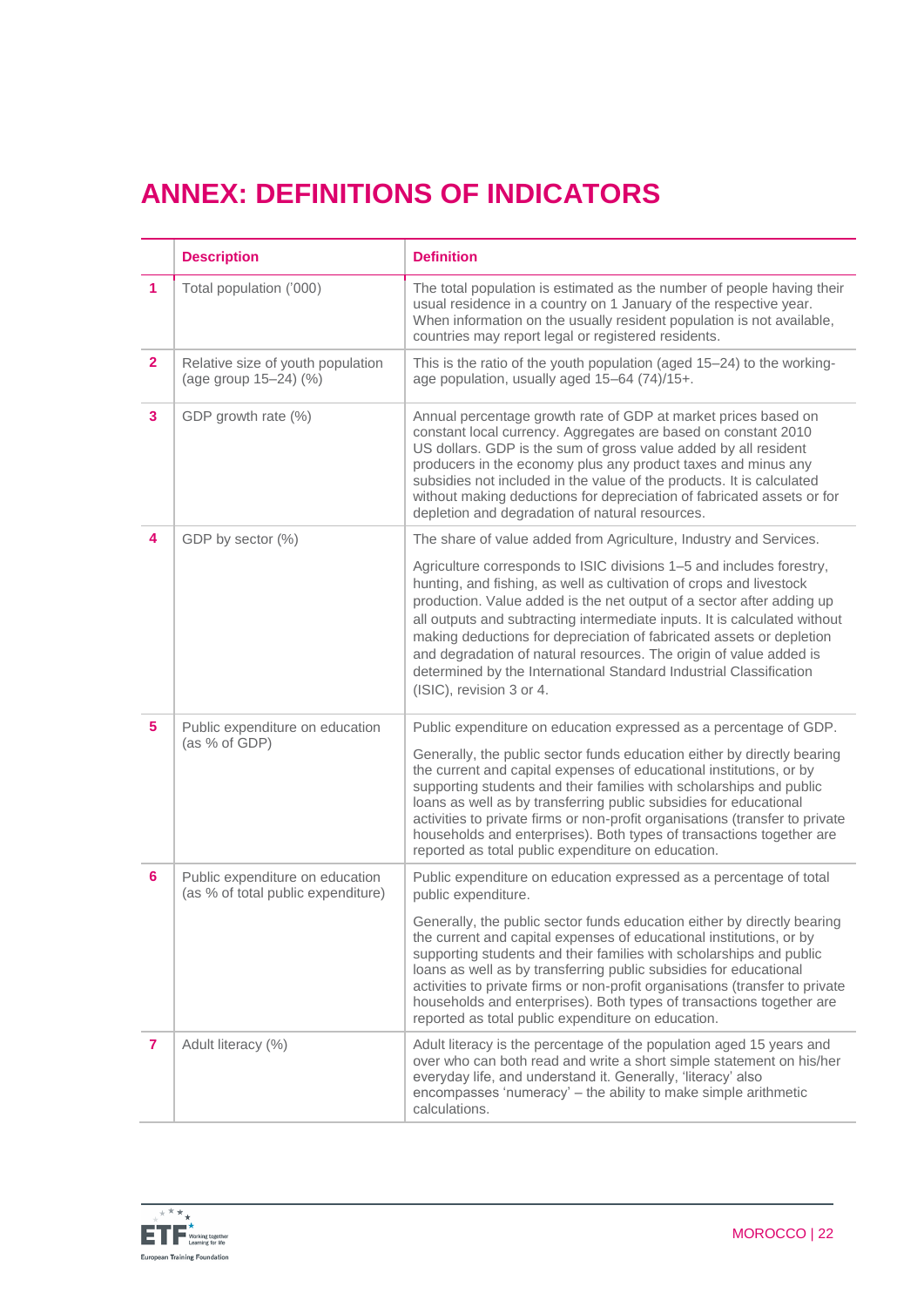# **ANNEX: DEFINITIONS OF INDICATORS**

|                | <b>Description</b>                                                    | <b>Definition</b>                                                                                                                                                                                                                                                                                                                                                                                                                                                                                                                                 |
|----------------|-----------------------------------------------------------------------|---------------------------------------------------------------------------------------------------------------------------------------------------------------------------------------------------------------------------------------------------------------------------------------------------------------------------------------------------------------------------------------------------------------------------------------------------------------------------------------------------------------------------------------------------|
| 1              | Total population ('000)                                               | The total population is estimated as the number of people having their<br>usual residence in a country on 1 January of the respective year.<br>When information on the usually resident population is not available,<br>countries may report legal or registered residents.                                                                                                                                                                                                                                                                       |
| $\overline{2}$ | Relative size of youth population<br>(age group 15-24) (%)            | This is the ratio of the youth population (aged 15-24) to the working-<br>age population, usually aged 15-64 (74)/15+.                                                                                                                                                                                                                                                                                                                                                                                                                            |
| 3              | GDP growth rate (%)                                                   | Annual percentage growth rate of GDP at market prices based on<br>constant local currency. Aggregates are based on constant 2010<br>US dollars. GDP is the sum of gross value added by all resident<br>producers in the economy plus any product taxes and minus any<br>subsidies not included in the value of the products. It is calculated<br>without making deductions for depreciation of fabricated assets or for<br>depletion and degradation of natural resources.                                                                        |
| 4              | GDP by sector (%)                                                     | The share of value added from Agriculture, Industry and Services.                                                                                                                                                                                                                                                                                                                                                                                                                                                                                 |
|                |                                                                       | Agriculture corresponds to ISIC divisions 1-5 and includes forestry,<br>hunting, and fishing, as well as cultivation of crops and livestock<br>production. Value added is the net output of a sector after adding up<br>all outputs and subtracting intermediate inputs. It is calculated without<br>making deductions for depreciation of fabricated assets or depletion<br>and degradation of natural resources. The origin of value added is<br>determined by the International Standard Industrial Classification<br>(ISIC), revision 3 or 4. |
| 5              | Public expenditure on education<br>(as % of GDP)                      | Public expenditure on education expressed as a percentage of GDP.                                                                                                                                                                                                                                                                                                                                                                                                                                                                                 |
|                |                                                                       | Generally, the public sector funds education either by directly bearing<br>the current and capital expenses of educational institutions, or by<br>supporting students and their families with scholarships and public<br>loans as well as by transferring public subsidies for educational<br>activities to private firms or non-profit organisations (transfer to private<br>households and enterprises). Both types of transactions together are<br>reported as total public expenditure on education.                                          |
| 6              | Public expenditure on education<br>(as % of total public expenditure) | Public expenditure on education expressed as a percentage of total<br>public expenditure.                                                                                                                                                                                                                                                                                                                                                                                                                                                         |
|                |                                                                       | Generally, the public sector funds education either by directly bearing<br>the current and capital expenses of educational institutions, or by<br>supporting students and their families with scholarships and public<br>loans as well as by transferring public subsidies for educational<br>activities to private firms or non-profit organisations (transfer to private<br>households and enterprises). Both types of transactions together are<br>reported as total public expenditure on education.                                          |
| 7              | Adult literacy (%)                                                    | Adult literacy is the percentage of the population aged 15 years and<br>over who can both read and write a short simple statement on his/her<br>everyday life, and understand it. Generally, 'literacy' also<br>encompasses 'numeracy' – the ability to make simple arithmetic<br>calculations.                                                                                                                                                                                                                                                   |

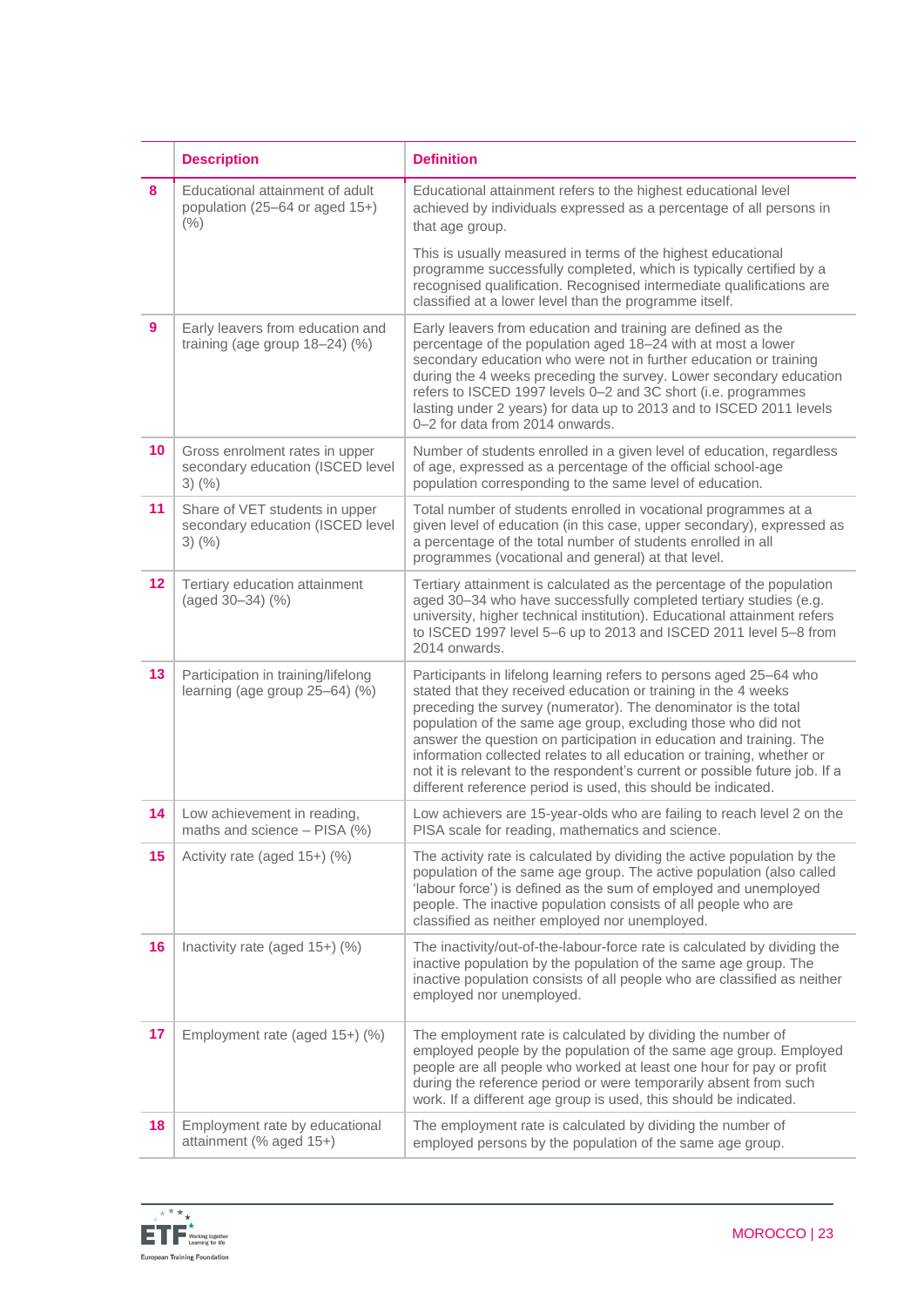|                 | <b>Description</b>                                                                 | <b>Definition</b>                                                                                                                                                                                                                                                                                                                                                                                                                                                                                                                                                        |
|-----------------|------------------------------------------------------------------------------------|--------------------------------------------------------------------------------------------------------------------------------------------------------------------------------------------------------------------------------------------------------------------------------------------------------------------------------------------------------------------------------------------------------------------------------------------------------------------------------------------------------------------------------------------------------------------------|
| 8               | Educational attainment of adult<br>population (25-64 or aged 15+)<br>(% )          | Educational attainment refers to the highest educational level<br>achieved by individuals expressed as a percentage of all persons in<br>that age group.                                                                                                                                                                                                                                                                                                                                                                                                                 |
|                 |                                                                                    | This is usually measured in terms of the highest educational<br>programme successfully completed, which is typically certified by a<br>recognised qualification. Recognised intermediate qualifications are<br>classified at a lower level than the programme itself.                                                                                                                                                                                                                                                                                                    |
| 9               | Early leavers from education and<br>training (age group $18-24$ ) (%)              | Early leavers from education and training are defined as the<br>percentage of the population aged 18-24 with at most a lower<br>secondary education who were not in further education or training<br>during the 4 weeks preceding the survey. Lower secondary education<br>refers to ISCED 1997 levels 0-2 and 3C short (i.e. programmes<br>lasting under 2 years) for data up to 2013 and to ISCED 2011 levels<br>0-2 for data from 2014 onwards.                                                                                                                       |
| 10 <sup>1</sup> | Gross enrolment rates in upper<br>secondary education (ISCED level<br>$3)$ (%)     | Number of students enrolled in a given level of education, regardless<br>of age, expressed as a percentage of the official school-age<br>population corresponding to the same level of education.                                                                                                                                                                                                                                                                                                                                                                        |
| 11              | Share of VET students in upper<br>secondary education (ISCED level<br>$3)$ $(\% )$ | Total number of students enrolled in vocational programmes at a<br>given level of education (in this case, upper secondary), expressed as<br>a percentage of the total number of students enrolled in all<br>programmes (vocational and general) at that level.                                                                                                                                                                                                                                                                                                          |
| 12              | Tertiary education attainment<br>(aged 30-34) (%)                                  | Tertiary attainment is calculated as the percentage of the population<br>aged 30-34 who have successfully completed tertiary studies (e.g.<br>university, higher technical institution). Educational attainment refers<br>to ISCED 1997 level 5-6 up to 2013 and ISCED 2011 level 5-8 from<br>2014 onwards.                                                                                                                                                                                                                                                              |
| 13              | Participation in training/lifelong<br>learning (age group 25-64) (%)               | Participants in lifelong learning refers to persons aged 25-64 who<br>stated that they received education or training in the 4 weeks<br>preceding the survey (numerator). The denominator is the total<br>population of the same age group, excluding those who did not<br>answer the question on participation in education and training. The<br>information collected relates to all education or training, whether or<br>not it is relevant to the respondent's current or possible future job. If a<br>different reference period is used, this should be indicated. |
| 14              | Low achievement in reading,<br>maths and science - PISA (%)                        | Low achievers are 15-year-olds who are failing to reach level 2 on the<br>PISA scale for reading, mathematics and science.                                                                                                                                                                                                                                                                                                                                                                                                                                               |
| 15              | Activity rate (aged 15+) (%)                                                       | The activity rate is calculated by dividing the active population by the<br>population of the same age group. The active population (also called<br>'labour force') is defined as the sum of employed and unemployed<br>people. The inactive population consists of all people who are<br>classified as neither employed nor unemployed.                                                                                                                                                                                                                                 |
| 16              | Inactivity rate (aged 15+) (%)                                                     | The inactivity/out-of-the-labour-force rate is calculated by dividing the<br>inactive population by the population of the same age group. The<br>inactive population consists of all people who are classified as neither<br>employed nor unemployed.                                                                                                                                                                                                                                                                                                                    |
| 17              | Employment rate (aged 15+) (%)                                                     | The employment rate is calculated by dividing the number of<br>employed people by the population of the same age group. Employed<br>people are all people who worked at least one hour for pay or profit<br>during the reference period or were temporarily absent from such<br>work. If a different age group is used, this should be indicated.                                                                                                                                                                                                                        |
| 18              | Employment rate by educational<br>attainment (% aged 15+)                          | The employment rate is calculated by dividing the number of<br>employed persons by the population of the same age group.                                                                                                                                                                                                                                                                                                                                                                                                                                                 |

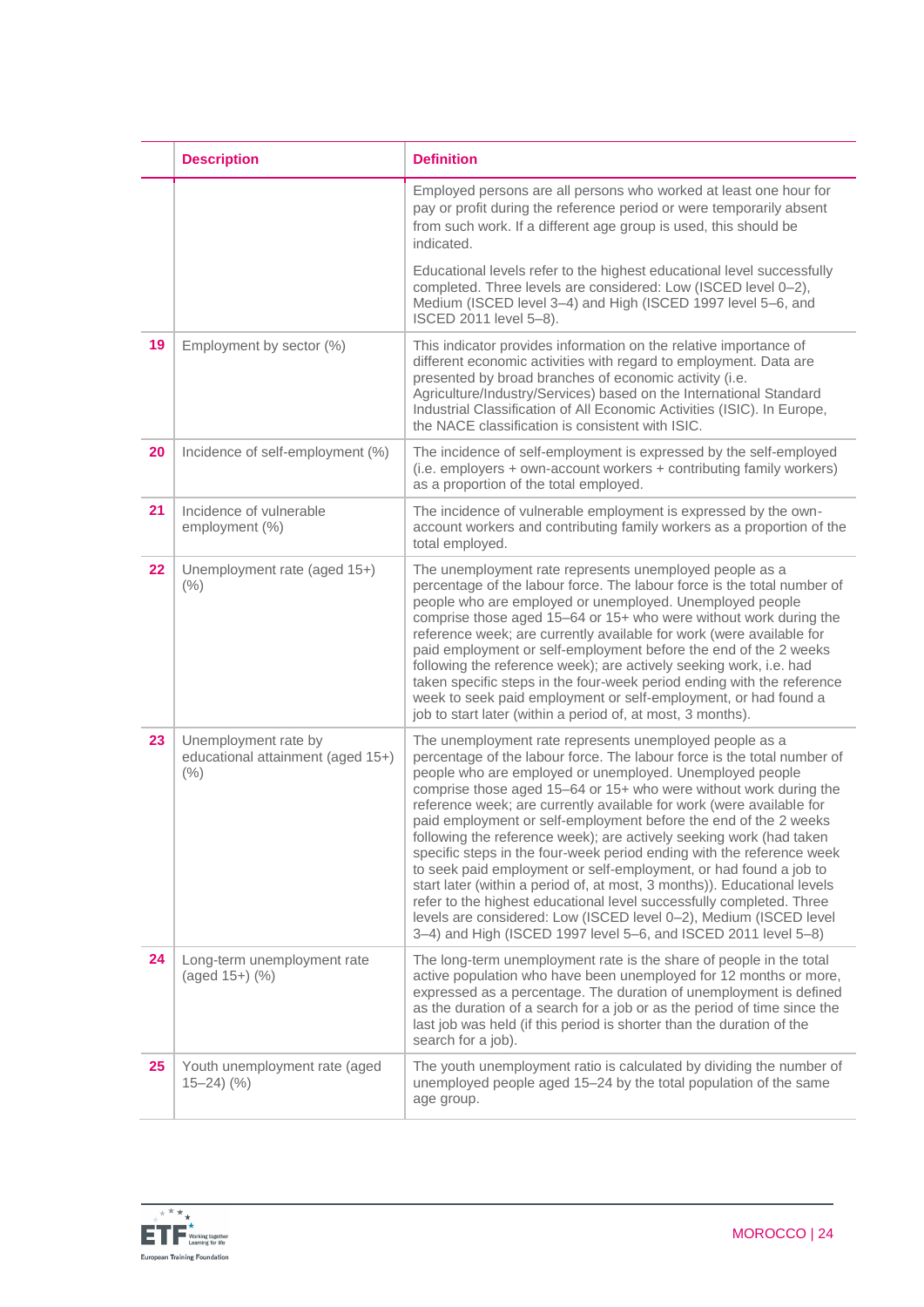|    | <b>Description</b>                                                | <b>Definition</b>                                                                                                                                                                                                                                                                                                                                                                                                                                                                                                                                                                                                                                                                                                                                                                                                                                                                                                               |
|----|-------------------------------------------------------------------|---------------------------------------------------------------------------------------------------------------------------------------------------------------------------------------------------------------------------------------------------------------------------------------------------------------------------------------------------------------------------------------------------------------------------------------------------------------------------------------------------------------------------------------------------------------------------------------------------------------------------------------------------------------------------------------------------------------------------------------------------------------------------------------------------------------------------------------------------------------------------------------------------------------------------------|
|    |                                                                   | Employed persons are all persons who worked at least one hour for<br>pay or profit during the reference period or were temporarily absent<br>from such work. If a different age group is used, this should be<br>indicated.                                                                                                                                                                                                                                                                                                                                                                                                                                                                                                                                                                                                                                                                                                     |
|    |                                                                   | Educational levels refer to the highest educational level successfully<br>completed. Three levels are considered: Low (ISCED level 0-2),<br>Medium (ISCED level 3-4) and High (ISCED 1997 level 5-6, and<br>ISCED 2011 level 5-8).                                                                                                                                                                                                                                                                                                                                                                                                                                                                                                                                                                                                                                                                                              |
| 19 | Employment by sector (%)                                          | This indicator provides information on the relative importance of<br>different economic activities with regard to employment. Data are<br>presented by broad branches of economic activity (i.e.<br>Agriculture/Industry/Services) based on the International Standard<br>Industrial Classification of All Economic Activities (ISIC). In Europe,<br>the NACE classification is consistent with ISIC.                                                                                                                                                                                                                                                                                                                                                                                                                                                                                                                           |
| 20 | Incidence of self-employment (%)                                  | The incidence of self-employment is expressed by the self-employed<br>(i.e. employers + own-account workers + contributing family workers)<br>as a proportion of the total employed.                                                                                                                                                                                                                                                                                                                                                                                                                                                                                                                                                                                                                                                                                                                                            |
| 21 | Incidence of vulnerable<br>employment (%)                         | The incidence of vulnerable employment is expressed by the own-<br>account workers and contributing family workers as a proportion of the<br>total employed.                                                                                                                                                                                                                                                                                                                                                                                                                                                                                                                                                                                                                                                                                                                                                                    |
| 22 | Unemployment rate (aged 15+)<br>(% )                              | The unemployment rate represents unemployed people as a<br>percentage of the labour force. The labour force is the total number of<br>people who are employed or unemployed. Unemployed people<br>comprise those aged 15-64 or 15+ who were without work during the<br>reference week; are currently available for work (were available for<br>paid employment or self-employment before the end of the 2 weeks<br>following the reference week); are actively seeking work, i.e. had<br>taken specific steps in the four-week period ending with the reference<br>week to seek paid employment or self-employment, or had found a<br>job to start later (within a period of, at most, 3 months).                                                                                                                                                                                                                               |
| 23 | Unemployment rate by<br>educational attainment (aged 15+)<br>(% ) | The unemployment rate represents unemployed people as a<br>percentage of the labour force. The labour force is the total number of<br>people who are employed or unemployed. Unemployed people<br>comprise those aged 15-64 or 15+ who were without work during the<br>reference week; are currently available for work (were available for<br>paid employment or self-employment before the end of the 2 weeks<br>following the reference week); are actively seeking work (had taken<br>specific steps in the four-week period ending with the reference week<br>to seek paid employment or self-employment, or had found a job to<br>start later (within a period of, at most, 3 months)). Educational levels<br>refer to the highest educational level successfully completed. Three<br>levels are considered: Low (ISCED level 0-2), Medium (ISCED level<br>3-4) and High (ISCED 1997 level 5-6, and ISCED 2011 level 5-8) |
| 24 | Long-term unemployment rate<br>(aged 15+) (%)                     | The long-term unemployment rate is the share of people in the total<br>active population who have been unemployed for 12 months or more,<br>expressed as a percentage. The duration of unemployment is defined<br>as the duration of a search for a job or as the period of time since the<br>last job was held (if this period is shorter than the duration of the<br>search for a job).                                                                                                                                                                                                                                                                                                                                                                                                                                                                                                                                       |
| 25 | Youth unemployment rate (aged<br>$(15-24)$ $(\%)$                 | The youth unemployment ratio is calculated by dividing the number of<br>unemployed people aged 15-24 by the total population of the same<br>age group.                                                                                                                                                                                                                                                                                                                                                                                                                                                                                                                                                                                                                                                                                                                                                                          |

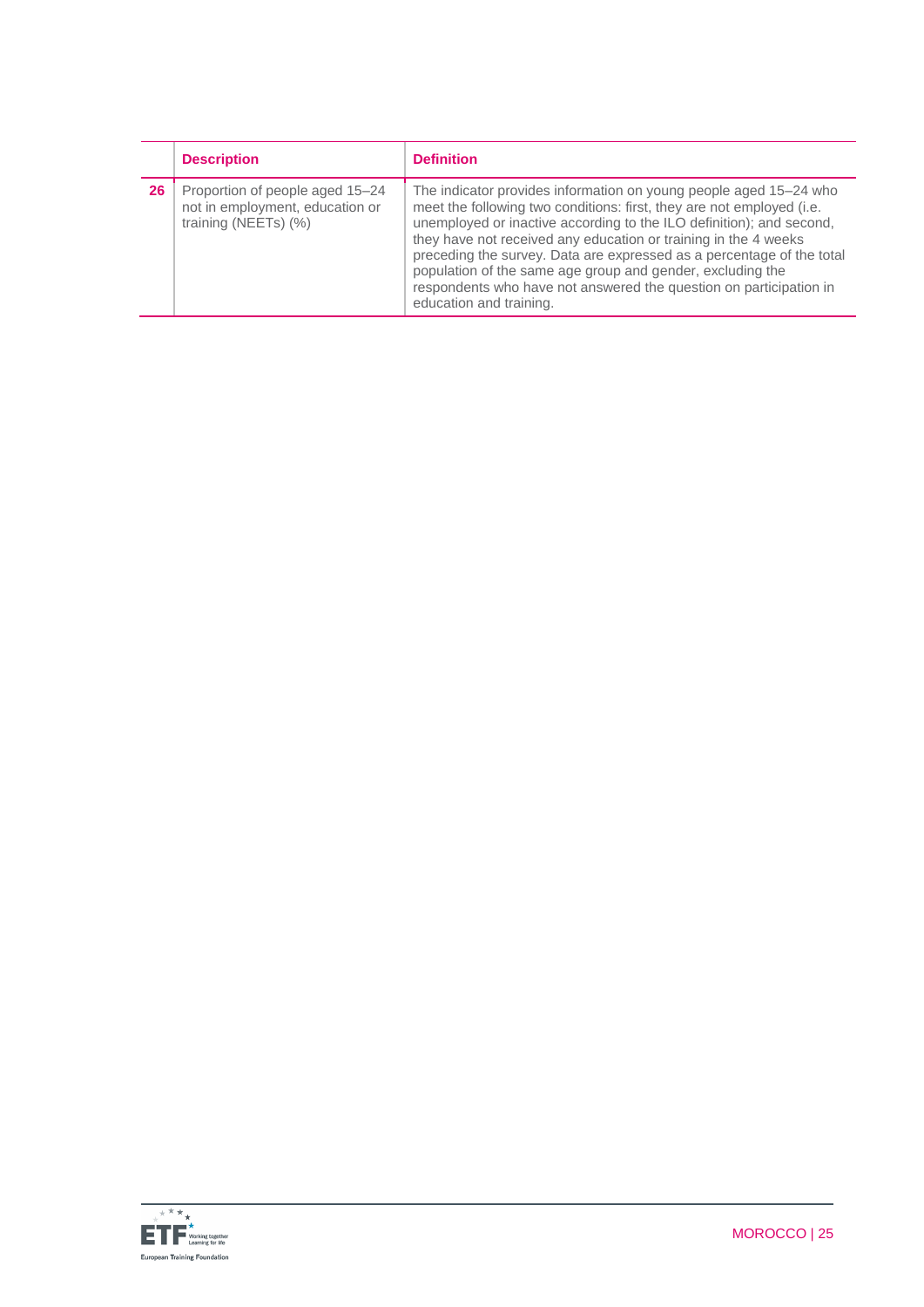|    | <b>Description</b>                                                                         | <b>Definition</b>                                                                                                                                                                                                                                                                                                                                                                                                                                                                                                             |
|----|--------------------------------------------------------------------------------------------|-------------------------------------------------------------------------------------------------------------------------------------------------------------------------------------------------------------------------------------------------------------------------------------------------------------------------------------------------------------------------------------------------------------------------------------------------------------------------------------------------------------------------------|
| 26 | Proportion of people aged 15-24<br>not in employment, education or<br>training (NEETs) (%) | The indicator provides information on young people aged 15–24 who<br>meet the following two conditions: first, they are not employed (i.e.<br>unemployed or inactive according to the ILO definition); and second,<br>they have not received any education or training in the 4 weeks<br>preceding the survey. Data are expressed as a percentage of the total<br>population of the same age group and gender, excluding the<br>respondents who have not answered the question on participation in<br>education and training. |

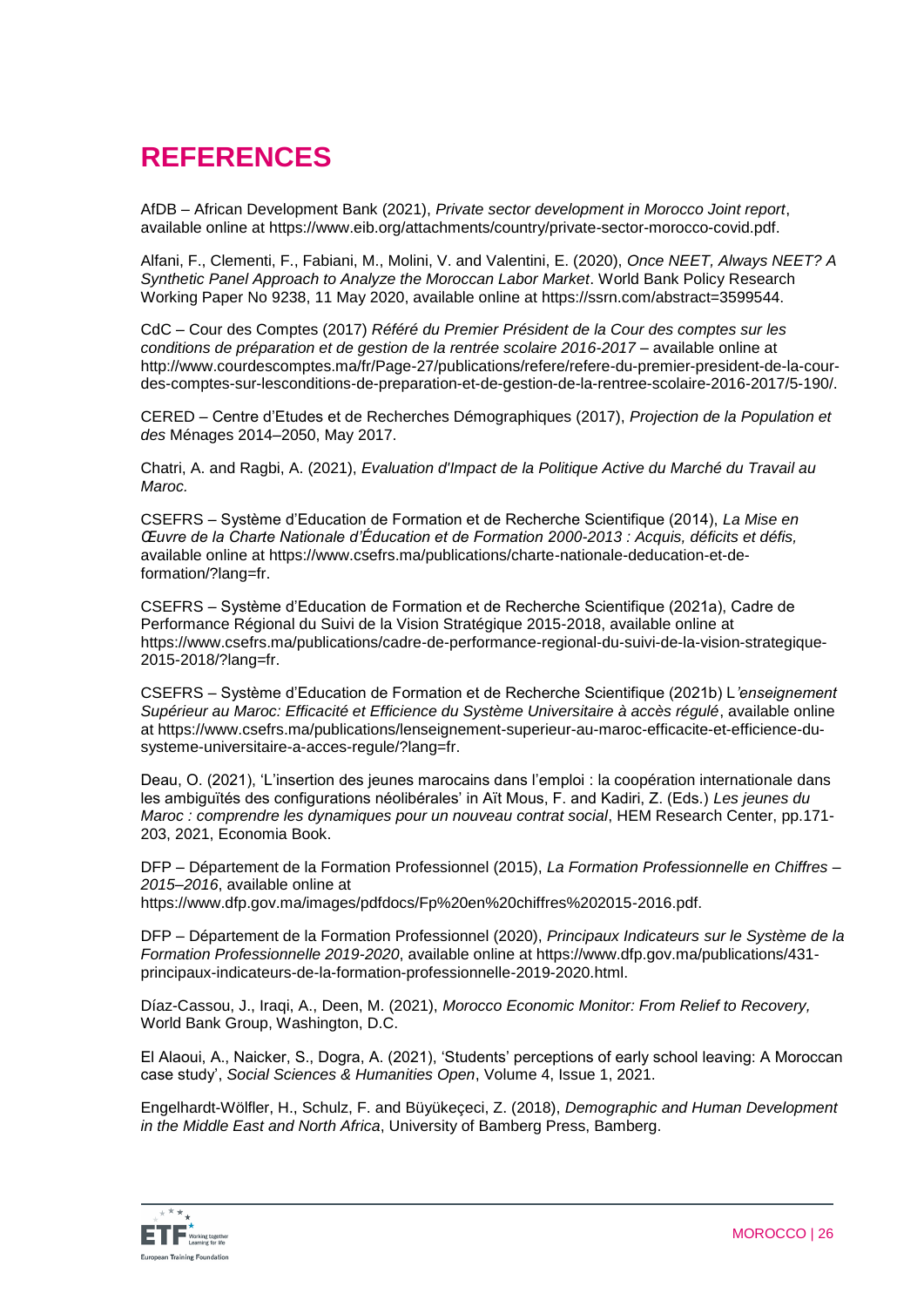# **REFERENCES**

AfDB – African Development Bank (2021), *Private sector development in Morocco Joint report*, available online at https://www.eib.org/attachments/country/private-sector-morocco-covid.pdf.

Alfani, F., Clementi, F., Fabiani, M., Molini, V. and Valentini, E. (2020), *Once NEET, Always NEET? A Synthetic Panel Approach to Analyze the Moroccan Labor Market*. World Bank Policy Research Working Paper No 9238, 11 May 2020, available online at https://ssrn.com/abstract=3599544.

CdC – Cour des Comptes (2017) *Référé du Premier Président de la Cour des comptes sur les conditions de préparation et de gestion de la rentrée scolaire 2016-2017* – available online at http://www.courdescomptes.ma/fr/Page-27/publications/refere/refere-du-premier-president-de-la-courdes-comptes-sur-lesconditions-de-preparation-et-de-gestion-de-la-rentree-scolaire-2016-2017/5-190/.

CERED – Centre d'Etudes et de Recherches Démographiques (2017), *Projection de la Population et des* Ménages 2014–2050, May 2017.

Chatri, A. and Ragbi, A. (2021), *Evaluation d'Impact de la Politique Active du Marché du Travail au Maroc.*

CSEFRS – Système d'Education de Formation et de Recherche Scientifique (2014), *La Mise en Œuvre de la Charte Nationale d'Éducation et de Formation 2000-2013 : Acquis, déficits et défis,* available online at https://www.csefrs.ma/publications/charte-nationale-deducation-et-deformation/?lang=fr.

CSEFRS – Système d'Education de Formation et de Recherche Scientifique (2021a), Cadre de Performance Régional du Suivi de la Vision Stratégique 2015-2018, available online at https://www.csefrs.ma/publications/cadre-de-performance-regional-du-suivi-de-la-vision-strategique-2015-2018/?lang=fr.

CSEFRS – Système d'Education de Formation et de Recherche Scientifique (2021b) L*'enseignement Supérieur au Maroc: Efficacité et Efficience du Système Universitaire à accès régulé*, available online at https://www.csefrs.ma/publications/lenseignement-superieur-au-maroc-efficacite-et-efficience-dusysteme-universitaire-a-acces-regule/?lang=fr.

Deau, O. (2021), 'L'insertion des jeunes marocains dans l'emploi : la coopération internationale dans les ambiguïtés des configurations néolibérales' in Aït Mous, F. and Kadiri, Z. (Eds.) *Les jeunes du Maroc : comprendre les dynamiques pour un nouveau contrat social*, HEM Research Center, pp.171- 203, 2021, Economia Book.

DFP – Département de la Formation Professionnel (2015), *La Formation Professionnelle en Chiffres – 2015–2016*, available online at

https://www.dfp.gov.ma/images/pdfdocs/Fp%20en%20chiffres%202015-2016.pdf.

DFP – Département de la Formation Professionnel (2020), *Principaux Indicateurs sur le Système de la Formation Professionnelle 2019-2020*, available online at https://www.dfp.gov.ma/publications/431 principaux-indicateurs-de-la-formation-professionnelle-2019-2020.html.

Díaz-Cassou, J., Iraqi, A., Deen, M. (2021), *Morocco Economic Monitor: From Relief to Recovery,* World Bank Group, Washington, D.C.

El Alaoui, A., Naicker, S., Dogra, A. (2021), 'Students' perceptions of early school leaving: A Moroccan case study', *Social Sciences & Humanities Open*, Volume 4, Issue 1, 2021.

Engelhardt-Wölfler, H., Schulz, F. and Büyükeçeci, Z. (2018), *Demographic and Human Development in the Middle East and North Africa*, University of Bamberg Press, Bamberg.

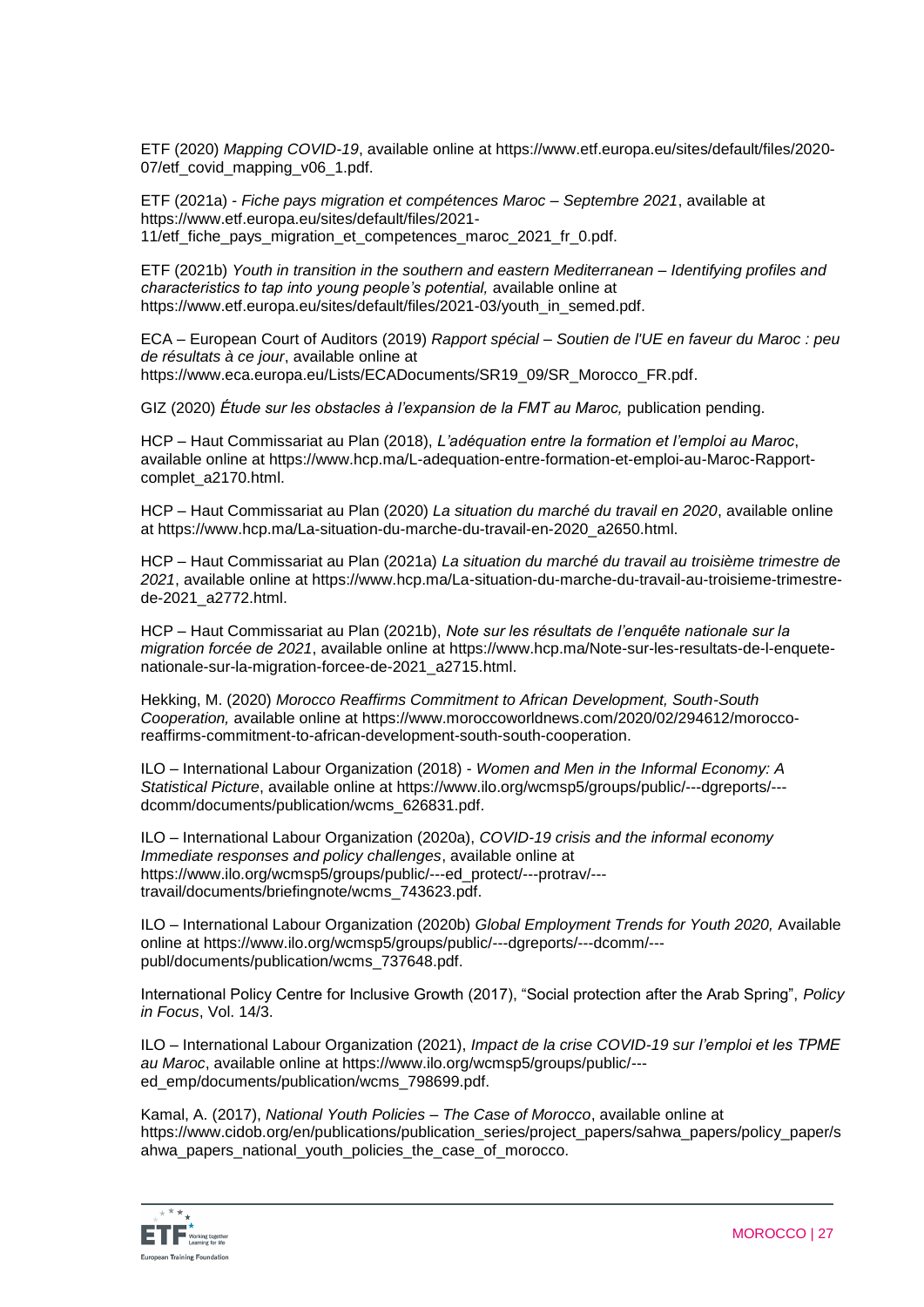ETF (2020) *Mapping COVID-19*, available online at https://www.etf.europa.eu/sites/default/files/2020- 07/etf\_covid\_mapping\_v06\_1.pdf.

ETF (2021a) - *Fiche pays migration et compétences Maroc – Septembre 2021*, available at https://www.etf.europa.eu/sites/default/files/2021- 11/etf fiche pays migration et competences maroc 2021 fr 0.pdf.

ETF (2021b) *Youth in transition in the southern and eastern Mediterranean – Identifying profiles and characteristics to tap into young people's potential,* available online at https://www.etf.europa.eu/sites/default/files/2021-03/youth\_in\_semed.pdf.

ECA – European Court of Auditors (2019) *Rapport spécial – Soutien de l'UE en faveur du Maroc : peu de résultats à ce jour*, available online at https://www.eca.europa.eu/Lists/ECADocuments/SR19\_09/SR\_Morocco\_FR.pdf.

GIZ (2020) *Étude sur les obstacles à l'expansion de la FMT au Maroc,* publication pending.

HCP – Haut Commissariat au Plan (2018), *L'adéquation entre la formation et l'emploi au Maroc*, available online at https://www.hcp.ma/L-adequation-entre-formation-et-emploi-au-Maroc-Rapportcomplet\_a2170.html.

HCP – Haut Commissariat au Plan (2020) *La situation du marché du travail en 2020*, available online at https://www.hcp.ma/La-situation-du-marche-du-travail-en-2020\_a2650.html.

HCP – Haut Commissariat au Plan (2021a) *La situation du marché du travail au troisième trimestre de 2021*, available online at https://www.hcp.ma/La-situation-du-marche-du-travail-au-troisieme-trimestrede-2021\_a2772.html.

HCP – Haut Commissariat au Plan (2021b), *Note sur les résultats de l'enquête nationale sur la migration forcée de 2021*, available online at https://www.hcp.ma/Note-sur-les-resultats-de-l-enquetenationale-sur-la-migration-forcee-de-2021\_a2715.html.

Hekking, M. (2020) *Morocco Reaffirms Commitment to African Development, South-South Cooperation,* available online at https://www.moroccoworldnews.com/2020/02/294612/moroccoreaffirms-commitment-to-african-development-south-south-cooperation.

ILO – International Labour Organization (2018) - *Women and Men in the Informal Economy: A Statistical Picture*, available online at https://www.ilo.org/wcmsp5/groups/public/---dgreports/-- dcomm/documents/publication/wcms\_626831.pdf.

ILO – International Labour Organization (2020a), *COVID-19 crisis and the informal economy Immediate responses and policy challenges*, available online at https://www.ilo.org/wcmsp5/groups/public/---ed\_protect/---protrav/-- travail/documents/briefingnote/wcms\_743623.pdf.

ILO – International Labour Organization (2020b) *Global Employment Trends for Youth 2020,* Available online at https://www.ilo.org/wcmsp5/groups/public/---dgreports/---dcomm/-- publ/documents/publication/wcms\_737648.pdf.

International Policy Centre for Inclusive Growth (2017), "Social protection after the Arab Spring", *Policy in Focus*, Vol. 14/3.

ILO – International Labour Organization (2021), *Impact de la crise COVID-19 sur l'emploi et les TPME au Maroc*, available online at https://www.ilo.org/wcmsp5/groups/public/-- ed\_emp/documents/publication/wcms\_798699.pdf.

Kamal, A. (2017), *National Youth Policies – The Case of Morocco*, available online at https://www.cidob.org/en/publications/publication\_series/project\_papers/sahwa\_papers/policy\_paper/s ahwa papers national youth policies the case of morocco.

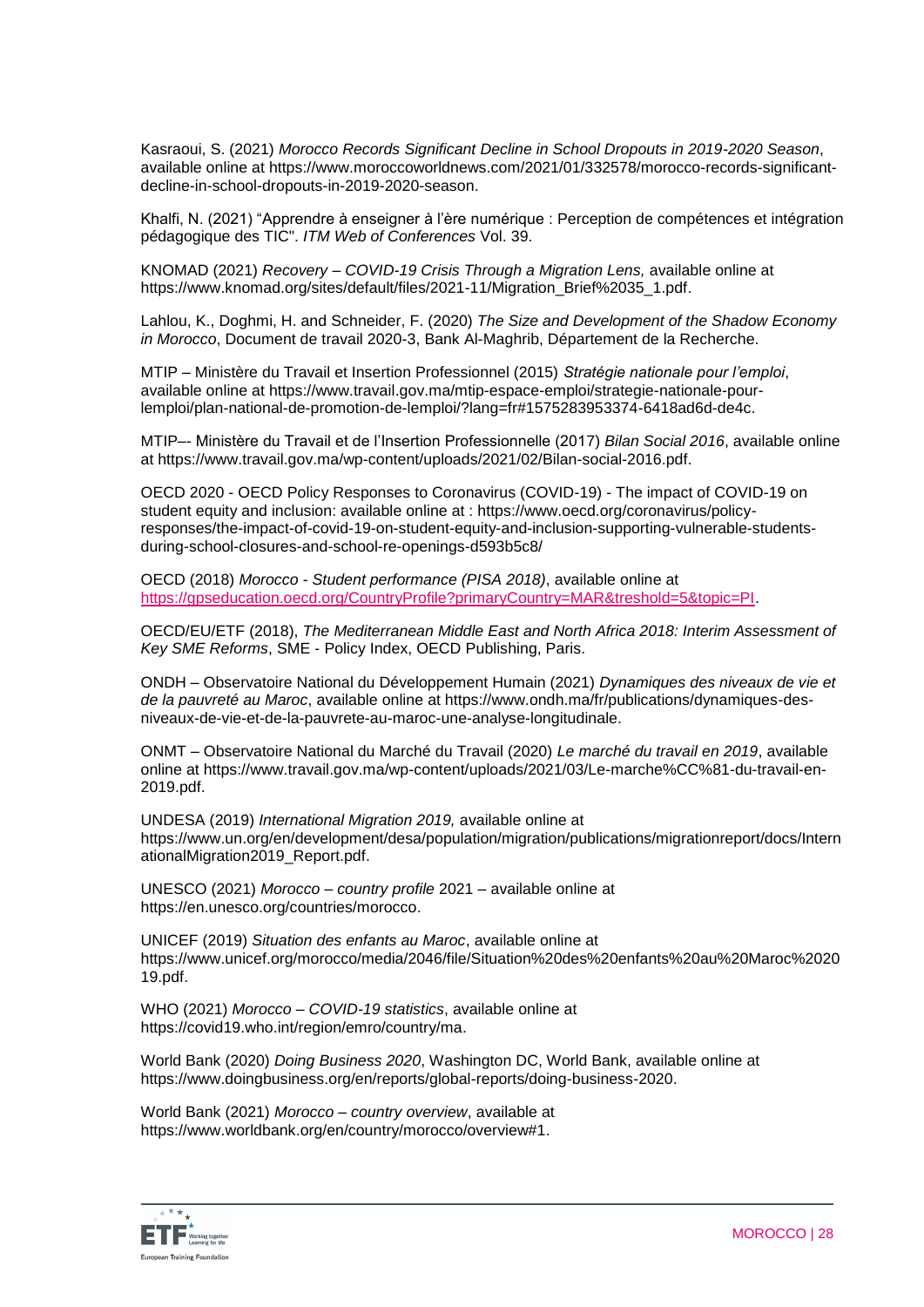Kasraoui, S. (2021) *Morocco Records Significant Decline in School Dropouts in 2019-2020 Season*, available online at https://www.moroccoworldnews.com/2021/01/332578/morocco-records-significantdecline-in-school-dropouts-in-2019-2020-season.

Khalfi, N. (2021) "Apprendre à enseigner à l'ère numérique : Perception de compétences et intégration pédagogique des TIC". *ITM Web of Conferences* Vol. 39.

KNOMAD (2021) *Recovery – COVID-19 Crisis Through a Migration Lens,* available online at https://www.knomad.org/sites/default/files/2021-11/Migration\_Brief%2035\_1.pdf.

Lahlou, K., Doghmi, H. and Schneider, F. (2020) *The Size and Development of the Shadow Economy in Morocco*, Document de travail 2020-3, Bank Al-Maghrib, Département de la Recherche.

MTIP – Ministère du Travail et Insertion Professionnel (2015) *Stratégie nationale pour l'emploi*, available online at https://www.travail.gov.ma/mtip-espace-emploi/strategie-nationale-pourlemploi/plan-national-de-promotion-de-lemploi/?lang=fr#1575283953374-6418ad6d-de4c.

MTIP–- Ministère du Travail et de l'Insertion Professionnelle (2017) *Bilan Social 2016*, available online at https://www.travail.gov.ma/wp-content/uploads/2021/02/Bilan-social-2016.pdf.

OECD 2020 - OECD Policy Responses to Coronavirus (COVID-19) - The impact of COVID-19 on student equity and inclusion: available online at : https://www.oecd.org/coronavirus/policyresponses/the-impact-of-covid-19-on-student-equity-and-inclusion-supporting-vulnerable-studentsduring-school-closures-and-school-re-openings-d593b5c8/

OECD (2018) *Morocco - Student performance (PISA 2018)*, available online at [https://gpseducation.oecd.org/CountryProfile?primaryCountry=MAR&treshold=5&topic=PI.](https://gpseducation.oecd.org/CountryProfile?primaryCountry=MAR&treshold=5&topic=PI)

OECD/EU/ETF (2018), *The Mediterranean Middle East and North Africa 2018: Interim Assessment of Key SME Reforms*, SME - Policy Index, OECD Publishing, Paris.

ONDH – Observatoire National du Développement Humain (2021) *Dynamiques des niveaux de vie et de la pauvreté au Maroc*, available online at https://www.ondh.ma/fr/publications/dynamiques-desniveaux-de-vie-et-de-la-pauvrete-au-maroc-une-analyse-longitudinale.

ONMT – Observatoire National du Marché du Travail (2020) *Le marché du travail en 2019*, available online at https://www.travail.gov.ma/wp-content/uploads/2021/03/Le-marche%CC%81-du-travail-en-2019.pdf.

UNDESA (2019) *International Migration 2019,* available online at https://www.un.org/en/development/desa/population/migration/publications/migrationreport/docs/Intern ationalMigration2019\_Report.pdf.

UNESCO (2021) *Morocco – country profile* 2021 – available online at https://en.unesco.org/countries/morocco.

UNICEF (2019) *Situation des enfants au Maroc*, available online at https://www.unicef.org/morocco/media/2046/file/Situation%20des%20enfants%20au%20Maroc%2020 19.pdf.

WHO (2021) *Morocco – COVID-19 statistics*, available online at https://covid19.who.int/region/emro/country/ma.

World Bank (2020) *Doing Business 2020*, Washington DC, World Bank, available online at https://www.doingbusiness.org/en/reports/global-reports/doing-business-2020.

World Bank (2021) *Morocco – country overview*, available at https://www.worldbank.org/en/country/morocco/overview#1.

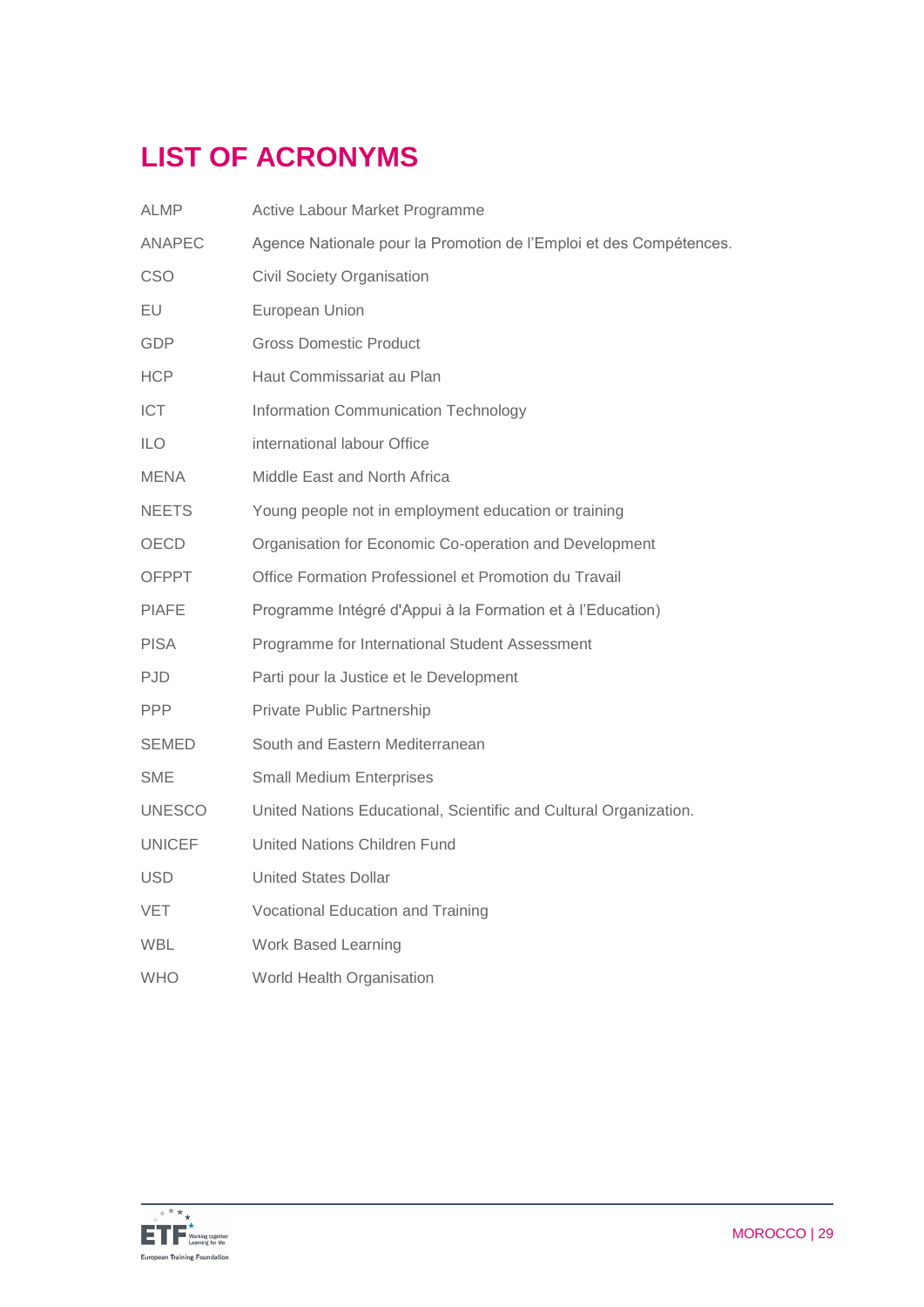# **LIST OF ACRONYMS**

| ALMP.         | Active Labour Market Programme                                     |
|---------------|--------------------------------------------------------------------|
| <b>ANAPEC</b> | Agence Nationale pour la Promotion de l'Emploi et des Compétences. |
| <b>CSO</b>    | <b>Civil Society Organisation</b>                                  |
| EU            | European Union                                                     |
| <b>GDP</b>    | <b>Gross Domestic Product</b>                                      |
| HCP           | Haut Commissariat au Plan                                          |
| ICT.          | Information Communication Technology                               |
| ILO.          | international labour Office                                        |
| <b>MENA</b>   | Middle East and North Africa                                       |
| <b>NEETS</b>  | Young people not in employment education or training               |
| <b>OECD</b>   | Organisation for Economic Co-operation and Development             |
| <b>OFPPT</b>  | Office Formation Professionel et Promotion du Travail              |
| <b>PIAFE</b>  | Programme Intégré d'Appui à la Formation et à l'Education)         |
| <b>PISA</b>   | Programme for International Student Assessment                     |
| PJD.          | Parti pour la Justice et le Development                            |
| <b>PPP</b>    | Private Public Partnership                                         |
| SEMED         | South and Eastern Mediterranean                                    |
| SME           | <b>Small Medium Enterprises</b>                                    |
| <b>UNESCO</b> | United Nations Educational, Scientific and Cultural Organization.  |
| <b>UNICEF</b> | United Nations Children Fund                                       |
| USD.          | <b>United States Dollar</b>                                        |
| VET           | Vocational Education and Training                                  |
| <b>WBL</b>    | Work Based Learning                                                |
| <b>WHO</b>    | World Health Organisation                                          |